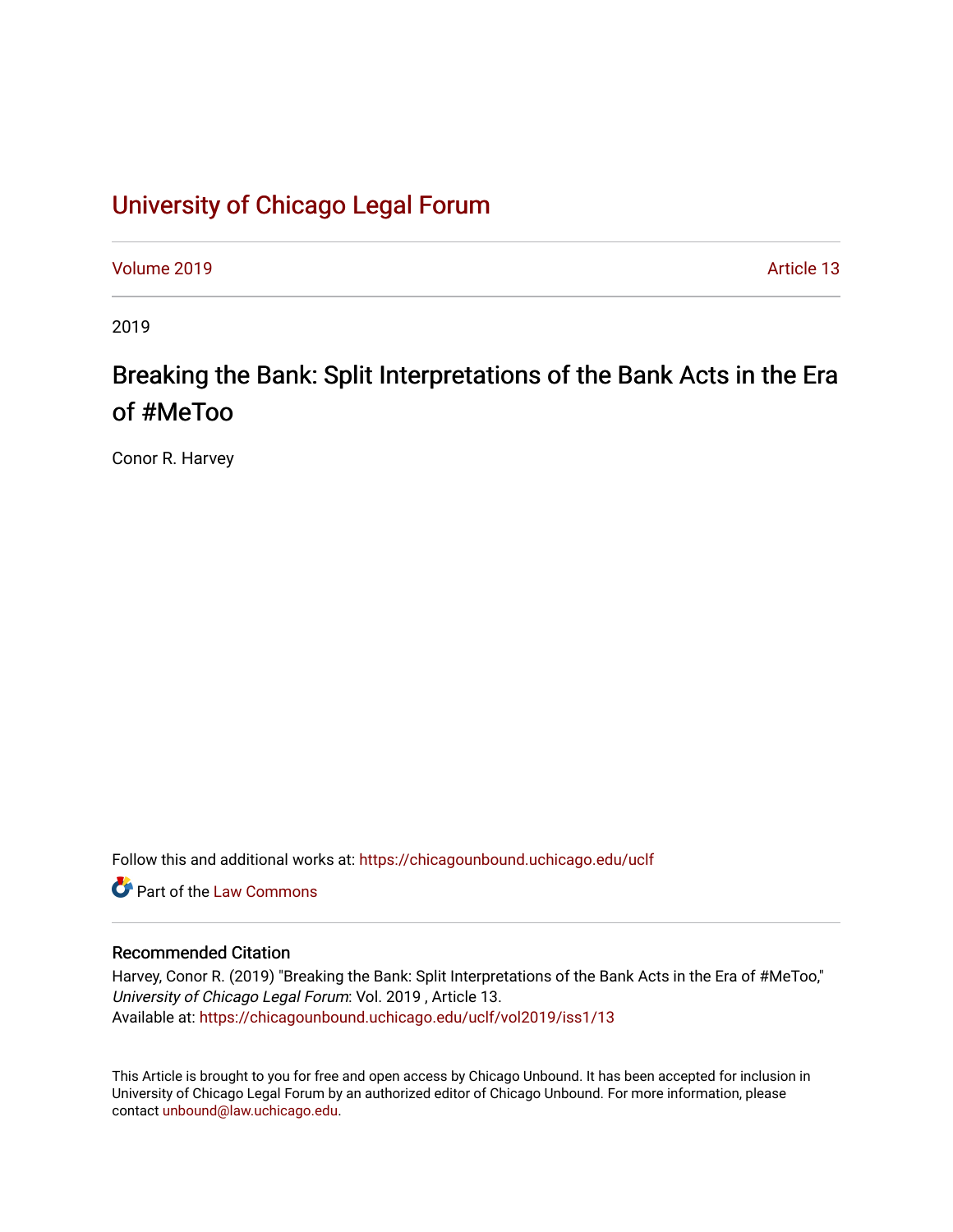## [University of Chicago Legal Forum](https://chicagounbound.uchicago.edu/uclf)

[Volume 2019](https://chicagounbound.uchicago.edu/uclf/vol2019) [Article 13](https://chicagounbound.uchicago.edu/uclf/vol2019/iss1/13) 

2019

# Breaking the Bank: Split Interpretations of the Bank Acts in the Era of #MeToo

Conor R. Harvey

Follow this and additional works at: [https://chicagounbound.uchicago.edu/uclf](https://chicagounbound.uchicago.edu/uclf?utm_source=chicagounbound.uchicago.edu%2Fuclf%2Fvol2019%2Fiss1%2F13&utm_medium=PDF&utm_campaign=PDFCoverPages) 

**C** Part of the [Law Commons](http://network.bepress.com/hgg/discipline/578?utm_source=chicagounbound.uchicago.edu%2Fuclf%2Fvol2019%2Fiss1%2F13&utm_medium=PDF&utm_campaign=PDFCoverPages)

## Recommended Citation

Harvey, Conor R. (2019) "Breaking the Bank: Split Interpretations of the Bank Acts in the Era of #MeToo," University of Chicago Legal Forum: Vol. 2019 , Article 13. Available at: [https://chicagounbound.uchicago.edu/uclf/vol2019/iss1/13](https://chicagounbound.uchicago.edu/uclf/vol2019/iss1/13?utm_source=chicagounbound.uchicago.edu%2Fuclf%2Fvol2019%2Fiss1%2F13&utm_medium=PDF&utm_campaign=PDFCoverPages)

This Article is brought to you for free and open access by Chicago Unbound. It has been accepted for inclusion in University of Chicago Legal Forum by an authorized editor of Chicago Unbound. For more information, please contact [unbound@law.uchicago.edu](mailto:unbound@law.uchicago.edu).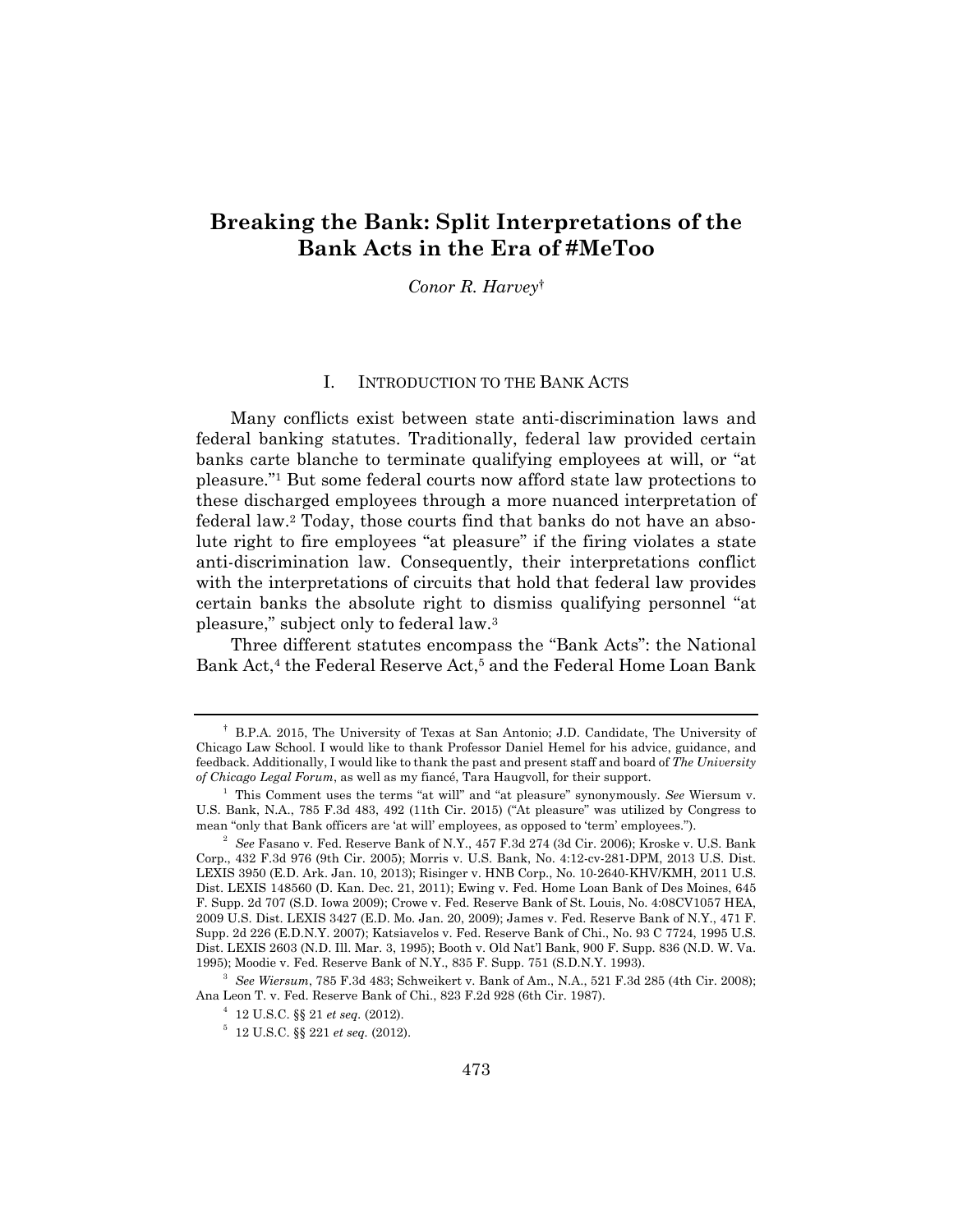## **Breaking the Bank: Split Interpretations of the Bank Acts in the Era of #MeToo**

*Conor R. Harvey*†

#### I. INTRODUCTION TO THE BANK ACTS

Many conflicts exist between state anti-discrimination laws and federal banking statutes. Traditionally, federal law provided certain banks carte blanche to terminate qualifying employees at will, or "at pleasure."1 But some federal courts now afford state law protections to these discharged employees through a more nuanced interpretation of federal law.2 Today, those courts find that banks do not have an absolute right to fire employees "at pleasure" if the firing violates a state anti-discrimination law. Consequently, their interpretations conflict with the interpretations of circuits that hold that federal law provides certain banks the absolute right to dismiss qualifying personnel "at pleasure," subject only to federal law.3

Three different statutes encompass the "Bank Acts": the National Bank Act,<sup>4</sup> the Federal Reserve Act,<sup>5</sup> and the Federal Home Loan Bank

<sup>†</sup> B.P.A. 2015, The University of Texas at San Antonio; J.D. Candidate, The University of Chicago Law School. I would like to thank Professor Daniel Hemel for his advice, guidance, and feedback. Additionally, I would like to thank the past and present staff and board of *The University of Chicago Legal Forum*, as well as my fiancé, Tara Haugvoll, for their support. 1

<sup>&</sup>lt;sup>1</sup> This Comment uses the terms "at will" and "at pleasure" synonymously. *See* Wiersum v. U.S. Bank, N.A., 785 F.3d 483, 492 (11th Cir. 2015) ("At pleasure" was utilized by Congress to mean "only that Bank officers are 'at will' employees, as opposed to 'term' employees."). 2

*See* Fasano v. Fed. Reserve Bank of N.Y., 457 F.3d 274 (3d Cir. 2006); Kroske v. U.S. Bank Corp., 432 F.3d 976 (9th Cir. 2005); Morris v. U.S. Bank, No. 4:12-cv-281-DPM, 2013 U.S. Dist. LEXIS 3950 (E.D. Ark. Jan. 10, 2013); Risinger v. HNB Corp., No. 10-2640-KHV/KMH, 2011 U.S. Dist. LEXIS 148560 (D. Kan. Dec. 21, 2011); Ewing v. Fed. Home Loan Bank of Des Moines, 645 F. Supp. 2d 707 (S.D. Iowa 2009); Crowe v. Fed. Reserve Bank of St. Louis, No. 4:08CV1057 HEA, 2009 U.S. Dist. LEXIS 3427 (E.D. Mo. Jan. 20, 2009); James v. Fed. Reserve Bank of N.Y., 471 F. Supp. 2d 226 (E.D.N.Y. 2007); Katsiavelos v. Fed. Reserve Bank of Chi., No. 93 C 7724, 1995 U.S. Dist. LEXIS 2603 (N.D. Ill. Mar. 3, 1995); Booth v. Old Nat'l Bank, 900 F. Supp. 836 (N.D. W. Va. 1995); Moodie v. Fed. Reserve Bank of N.Y., 835 F. Supp. 751 (S.D.N.Y. 1993). 3

*See Wiersum*, 785 F.3d 483; Schweikert v. Bank of Am., N.A., 521 F.3d 285 (4th Cir. 2008); Ana Leon T. v. Fed. Reserve Bank of Chi., 823 F.2d 928 (6th Cir. 1987). 4

 $4$  12 U.S.C. §§ 21 *et seq.* (2012).

 $12 \text{ U.S.C.}$  §§ 221 *et seq.* (2012).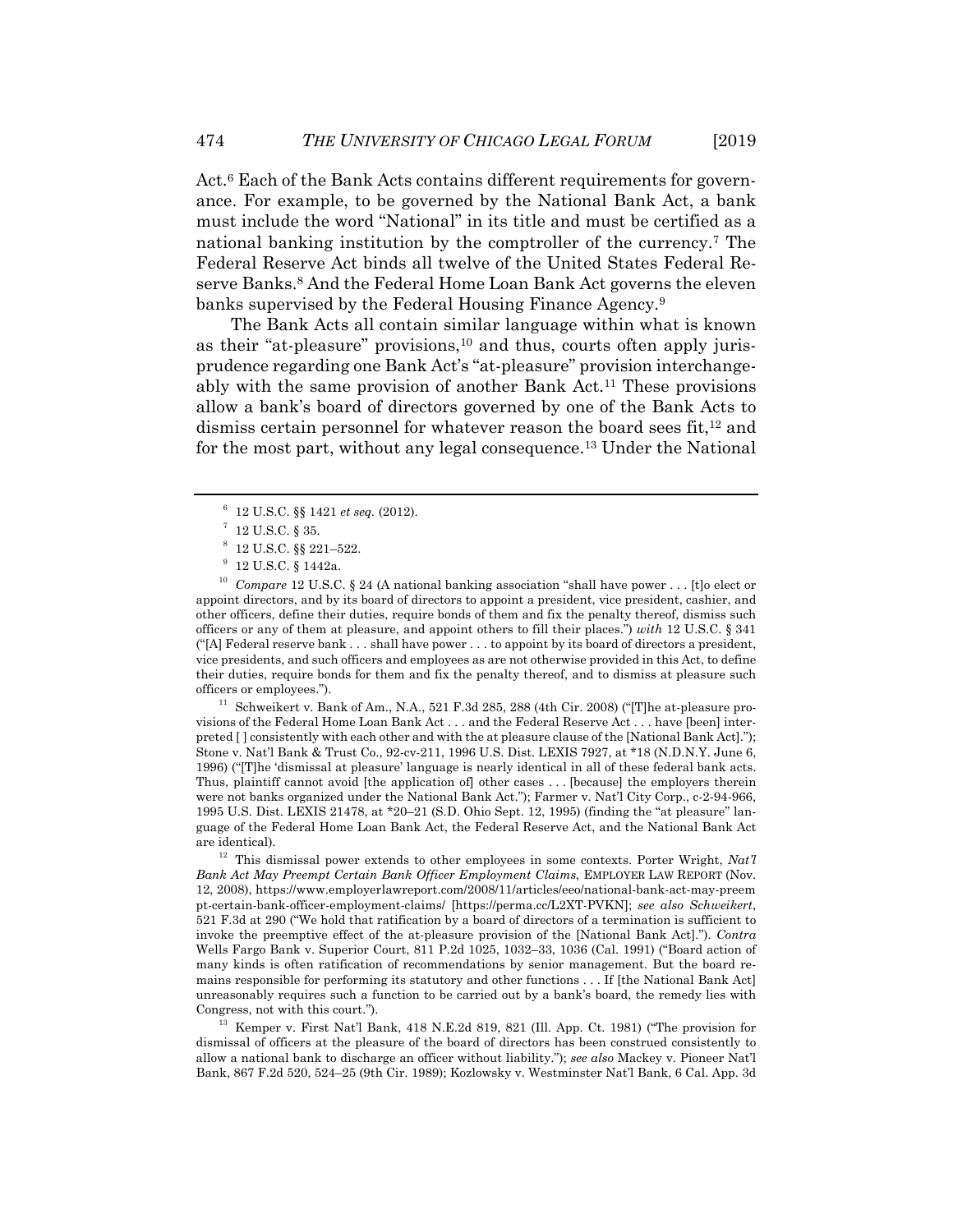Act.6 Each of the Bank Acts contains different requirements for governance. For example, to be governed by the National Bank Act, a bank must include the word "National" in its title and must be certified as a national banking institution by the comptroller of the currency.7 The Federal Reserve Act binds all twelve of the United States Federal Reserve Banks.<sup>8</sup> And the Federal Home Loan Bank Act governs the eleven banks supervised by the Federal Housing Finance Agency.9

The Bank Acts all contain similar language within what is known as their "at-pleasure" provisions,<sup>10</sup> and thus, courts often apply jurisprudence regarding one Bank Act's "at-pleasure" provision interchangeably with the same provision of another Bank Act.11 These provisions allow a bank's board of directors governed by one of the Bank Acts to dismiss certain personnel for whatever reason the board sees fit,<sup>12</sup> and for the most part, without any legal consequence.13 Under the National

<sup>10</sup> *Compare* 12 U.S.C. § 24 (A national banking association "shall have power . . . [t]o elect or appoint directors, and by its board of directors to appoint a president, vice president, cashier, and other officers, define their duties, require bonds of them and fix the penalty thereof, dismiss such officers or any of them at pleasure, and appoint others to fill their places.") *with* 12 U.S.C. § 341 ("[A] Federal reserve bank  $\dots$  shall have power  $\dots$  to appoint by its board of directors a president, vice presidents, and such officers and employees as are not otherwise provided in this Act, to define their duties, require bonds for them and fix the penalty thereof, and to dismiss at pleasure such officers or employees.").<br><sup>11</sup> Schweikert v. Bank of Am., N.A., 521 F.3d 285, 288 (4th Cir. 2008) ("[T]he at-pleasure pro-

visions of the Federal Home Loan Bank Act . . . and the Federal Reserve Act . . . have [been] interpreted [ ] consistently with each other and with the at pleasure clause of the [National Bank Act]."); Stone v. Nat'l Bank & Trust Co., 92-cv-211, 1996 U.S. Dist. LEXIS 7927, at \*18 (N.D.N.Y. June 6, 1996) ("[T]he 'dismissal at pleasure' language is nearly identical in all of these federal bank acts. Thus, plaintiff cannot avoid [the application of] other cases . . . [because] the employers therein were not banks organized under the National Bank Act."); Farmer v. Nat'l City Corp., c-2-94-966, 1995 U.S. Dist. LEXIS 21478, at \*20–21 (S.D. Ohio Sept. 12, 1995) (finding the "at pleasure" language of the Federal Home Loan Bank Act, the Federal Reserve Act, and the National Bank Act are identical). 12 This dismissal power extends to other employees in some contexts. Porter Wright, *Nat'l* 

*Bank Act May Preempt Certain Bank Officer Employment Claims*, EMPLOYER LAW REPORT (Nov. 12, 2008), https://www.employerlawreport.com/2008/11/articles/eeo/national-bank-act-may-preem pt-certain-bank-officer-employment-claims/ [https://perma.cc/L2XT-PVKN]; *see also Schweikert*, 521 F.3d at 290 ("We hold that ratification by a board of directors of a termination is sufficient to invoke the preemptive effect of the at-pleasure provision of the [National Bank Act]."). *Contra* Wells Fargo Bank v. Superior Court, 811 P.2d 1025, 1032–33, 1036 (Cal. 1991) ("Board action of many kinds is often ratification of recommendations by senior management. But the board remains responsible for performing its statutory and other functions . . . If [the National Bank Act] unreasonably requires such a function to be carried out by a bank's board, the remedy lies with

Congress, not with this court."). 13 Kemper v. First Nat'l Bank, 418 N.E.2d 819, 821 (Ill. App. Ct. 1981) ("The provision for dismissal of officers at the pleasure of the board of directors has been construed consistently to allow a national bank to discharge an officer without liability."); *see also* Mackey v. Pioneer Nat'l Bank, 867 F.2d 520, 524–25 (9th Cir. 1989); Kozlowsky v. Westminster Nat'l Bank, 6 Cal. App. 3d

<sup>&</sup>lt;sup>6</sup> 12 U.S.C. §§ 1421 *et seq.* (2012).

 $12$  U.S.C. § 35.

 $8\,$  12 U.S.C.  $\S$ § 221-522.

<sup>9</sup> 12 U.S.C. § 1442a.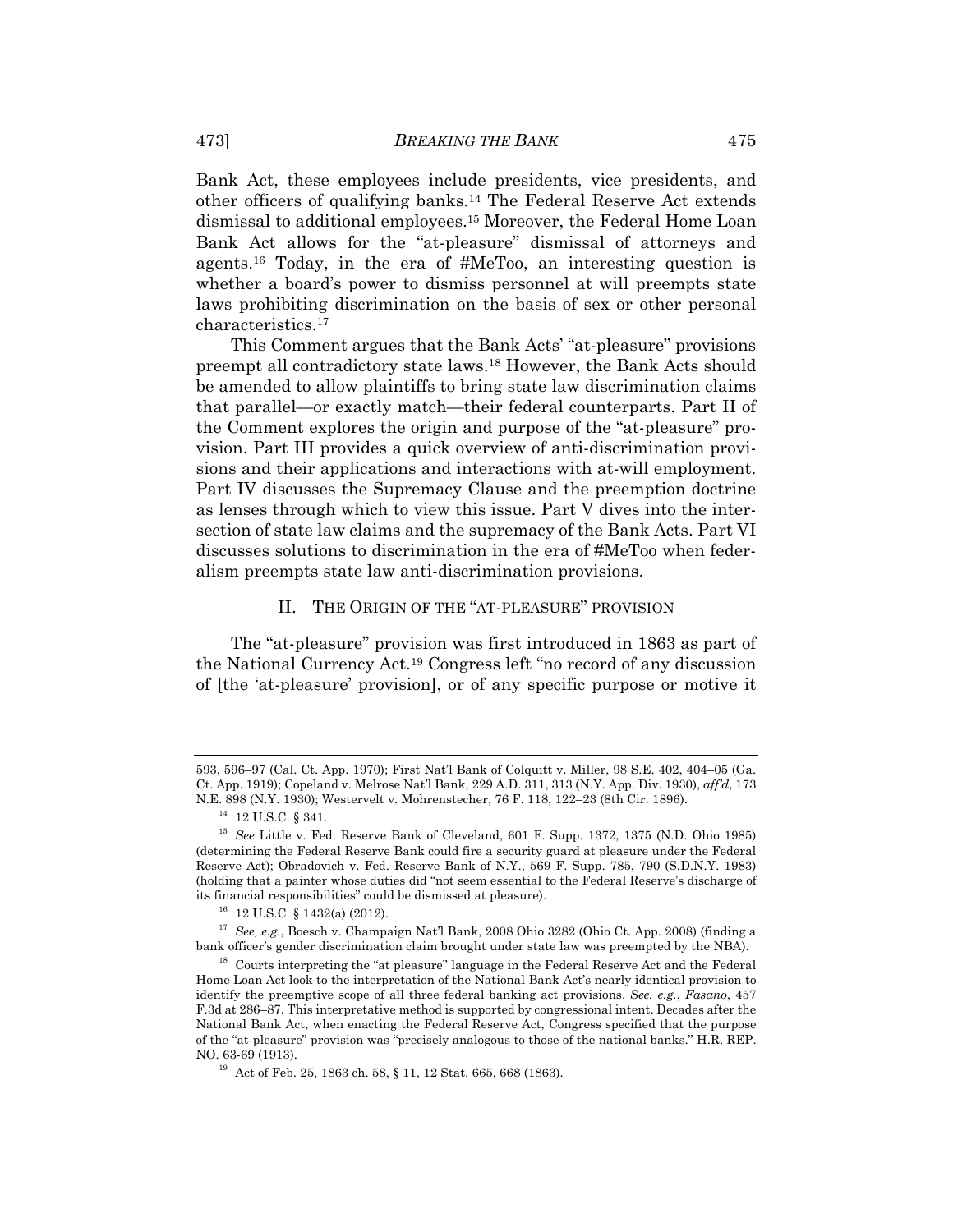Bank Act, these employees include presidents, vice presidents, and other officers of qualifying banks.14 The Federal Reserve Act extends dismissal to additional employees.15 Moreover, the Federal Home Loan Bank Act allows for the "at-pleasure" dismissal of attorneys and agents.16 Today, in the era of #MeToo, an interesting question is whether a board's power to dismiss personnel at will preempts state laws prohibiting discrimination on the basis of sex or other personal characteristics.17

This Comment argues that the Bank Acts' "at-pleasure" provisions preempt all contradictory state laws.18 However, the Bank Acts should be amended to allow plaintiffs to bring state law discrimination claims that parallel—or exactly match—their federal counterparts. Part II of the Comment explores the origin and purpose of the "at-pleasure" provision. Part III provides a quick overview of anti-discrimination provisions and their applications and interactions with at-will employment. Part IV discusses the Supremacy Clause and the preemption doctrine as lenses through which to view this issue. Part V dives into the intersection of state law claims and the supremacy of the Bank Acts. Part VI discusses solutions to discrimination in the era of #MeToo when federalism preempts state law anti-discrimination provisions.

## II. THE ORIGIN OF THE "AT-PLEASURE" PROVISION

The "at-pleasure" provision was first introduced in 1863 as part of the National Currency Act.19 Congress left "no record of any discussion of [the 'at-pleasure' provision], or of any specific purpose or motive it

<sup>593, 596–97 (</sup>Cal. Ct. App. 1970); First Nat'l Bank of Colquitt v. Miller, 98 S.E. 402, 404–05 (Ga. Ct. App. 1919); Copeland v. Melrose Nat'l Bank, 229 A.D. 311, 313 (N.Y. App. Div. 1930), *aff'd*, 173 N.E. 898 (N.Y. 1930); Westervelt v. Mohrenstecher, 76 F. 118, 122–23 (8th Cir. 1896).

 $^{14}$  12 U.S.C.  $\S$  341.

<sup>15</sup> *See* Little v. Fed. Reserve Bank of Cleveland, 601 F. Supp. 1372, 1375 (N.D. Ohio 1985) (determining the Federal Reserve Bank could fire a security guard at pleasure under the Federal Reserve Act); Obradovich v. Fed. Reserve Bank of N.Y., 569 F. Supp. 785, 790 (S.D.N.Y. 1983) (holding that a painter whose duties did "not seem essential to the Federal Reserve's discharge of its financial responsibilities" could be dismissed at pleasure). <sup>16</sup> 12 U.S.C. § 1432(a) (2012).

<sup>&</sup>lt;sup>17</sup> See, e.g., Boesch v. Champaign Nat'l Bank, 2008 Ohio 3282 (Ohio Ct. App. 2008) (finding a bank officer's gender discrimination claim brought under state law was preempted by the NBA).

 $^{18}$  Courts interpreting the "at pleasure" language in the Federal Reserve Act and the Federal Home Loan Act look to the interpretation of the National Bank Act's nearly identical provision to identify the preemptive scope of all three federal banking act provisions. *See, e.g.*, *Fasano*, 457 F.3d at 286–87. This interpretative method is supported by congressional intent. Decades after the National Bank Act, when enacting the Federal Reserve Act, Congress specified that the purpose of the "at-pleasure" provision was "precisely analogous to those of the national banks." H.R. REP. NO. 63-69 (1913).<br><sup>19</sup> Act of Feb. 25, 1863 ch. 58, § 11, 12 Stat. 665, 668 (1863).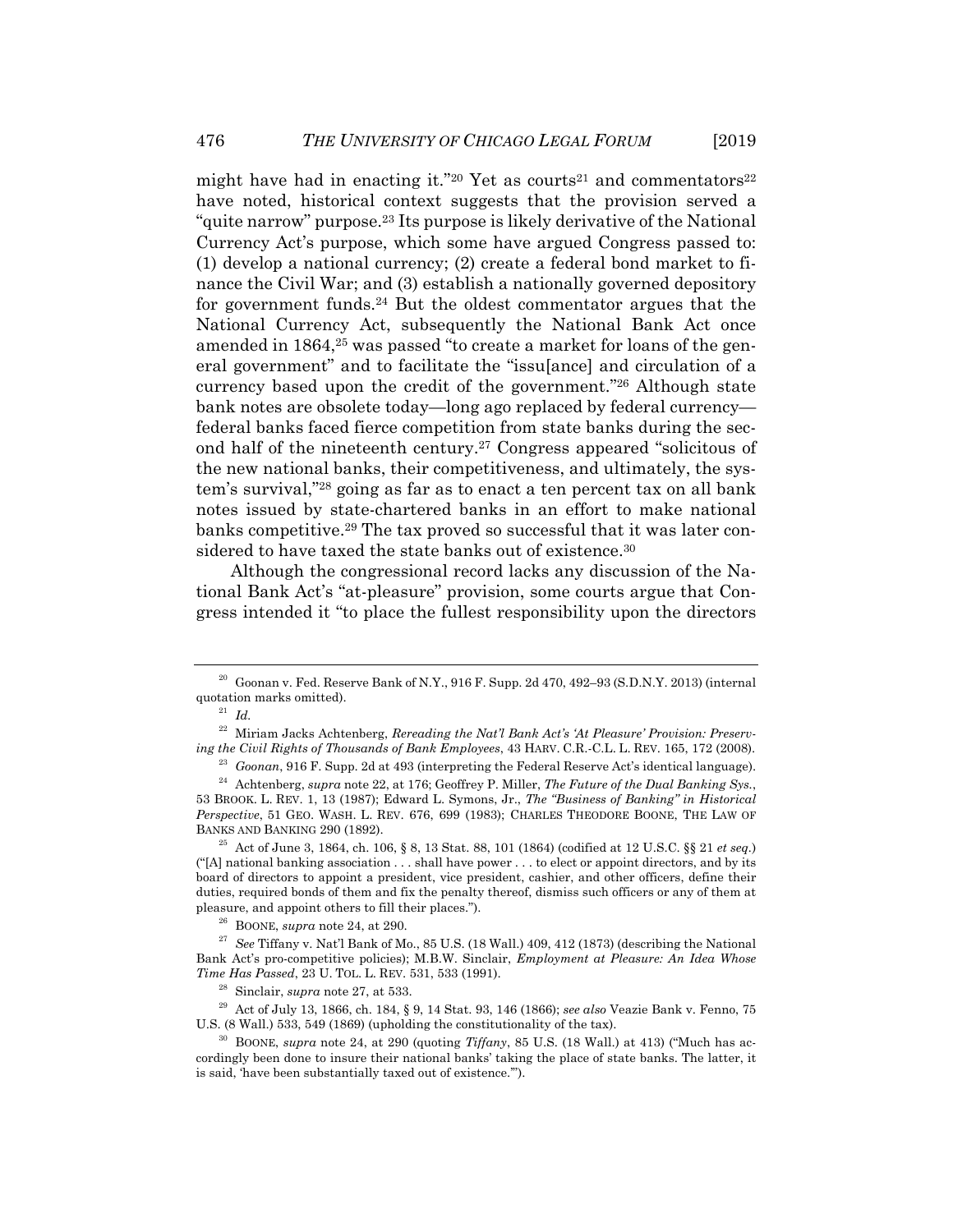might have had in enacting it."20 Yet as courts<sup>21</sup> and commentators<sup>22</sup> have noted, historical context suggests that the provision served a "quite narrow" purpose.23 Its purpose is likely derivative of the National Currency Act's purpose, which some have argued Congress passed to: (1) develop a national currency; (2) create a federal bond market to finance the Civil War; and (3) establish a nationally governed depository for government funds.24 But the oldest commentator argues that the National Currency Act, subsequently the National Bank Act once amended in 1864,<sup>25</sup> was passed "to create a market for loans of the general government" and to facilitate the "issu[ance] and circulation of a currency based upon the credit of the government."26 Although state bank notes are obsolete today—long ago replaced by federal currency federal banks faced fierce competition from state banks during the second half of the nineteenth century.27 Congress appeared "solicitous of the new national banks, their competitiveness, and ultimately, the system's survival,"28 going as far as to enact a ten percent tax on all bank notes issued by state-chartered banks in an effort to make national banks competitive.29 The tax proved so successful that it was later considered to have taxed the state banks out of existence.<sup>30</sup>

Although the congressional record lacks any discussion of the National Bank Act's "at-pleasure" provision, some courts argue that Congress intended it "to place the fullest responsibility upon the directors

 $("A]$  national banking association  $\dots$  shall have power  $\dots$  to elect or appoint directors, and by its board of directors to appoint a president, vice president, cashier, and other officers, define their duties, required bonds of them and fix the penalty thereof, dismiss such officers or any of them at pleasure, and appoint others to fill their places.").<br><sup>26</sup> BOONE, *supra* note 24, at 290.<br><sup>27</sup> See Tiffany v. Nat'l Bank of Mo., 85 U.S. (18 Wall.) 409, 412 (1873) (describing the National

Bank Act's pro-competitive policies); M.B.W. Sinclair, *Employment at Pleasure: An Idea Whose* 

<sup>28</sup> Sinclair, *supra* note 27, at 533.<br><sup>29</sup> Act of July 13, 1866, ch. 184, § 9, 14 Stat. 93, 146 (1866); *see also* Veazie Bank v. Fenno, 75<br>U.S. (8 Wall.) 533, 549 (1869) (upholding the constitutionality of the tax).

 $^{30}$  BOONE, *supra* note 24, at 290 (quoting *Tiffany*, 85 U.S. (18 Wall.) at 413) ("Much has accordingly been done to insure their national banks' taking the place of state banks. The latter, it is said, 'have been substantially taxed out of existence.'").

 $20$  Goonan v. Fed. Reserve Bank of N.Y., 916 F. Supp. 2d 470, 492–93 (S.D.N.Y. 2013) (internal quotation marks omitted). 21 *Id.*

<sup>&</sup>lt;sup>22</sup> Miriam Jacks Achtenberg, *Rereading the Nat'l Bank Act's 'At Pleasure' Provision: Preserv-*<br> *ing the Civil Rights of Thousands of Bank Employees, 43 HARV. C.R.-C.L. L. REV. 165, 172 (2008).* 

<sup>&</sup>lt;sup>23</sup> Goonan, 916 F. Supp. 2d at 493 (interpreting the Federal Reserve Act's identical language).<br><sup>24</sup> Achtenberg, *supra* note 22, at 176; Geoffrey P. Miller, *The Future of the Dual Banking Sys.*,

<sup>53</sup> BROOK. L. REV. 1, 13 (1987); Edward L. Symons, Jr., *The "Business of Banking" in Historical Perspective*, 51 GEO. WASH. L. REV. 676, 699 (1983); CHARLES THEODORE BOONE, THE LAW OF BANKS AND BANKING 290 (1892). 25 Act of June 3, 1864, ch. 106, § 8, 13 Stat. 88, 101 (1864) (codified at 12 U.S.C. §§ 21 *et seq.*)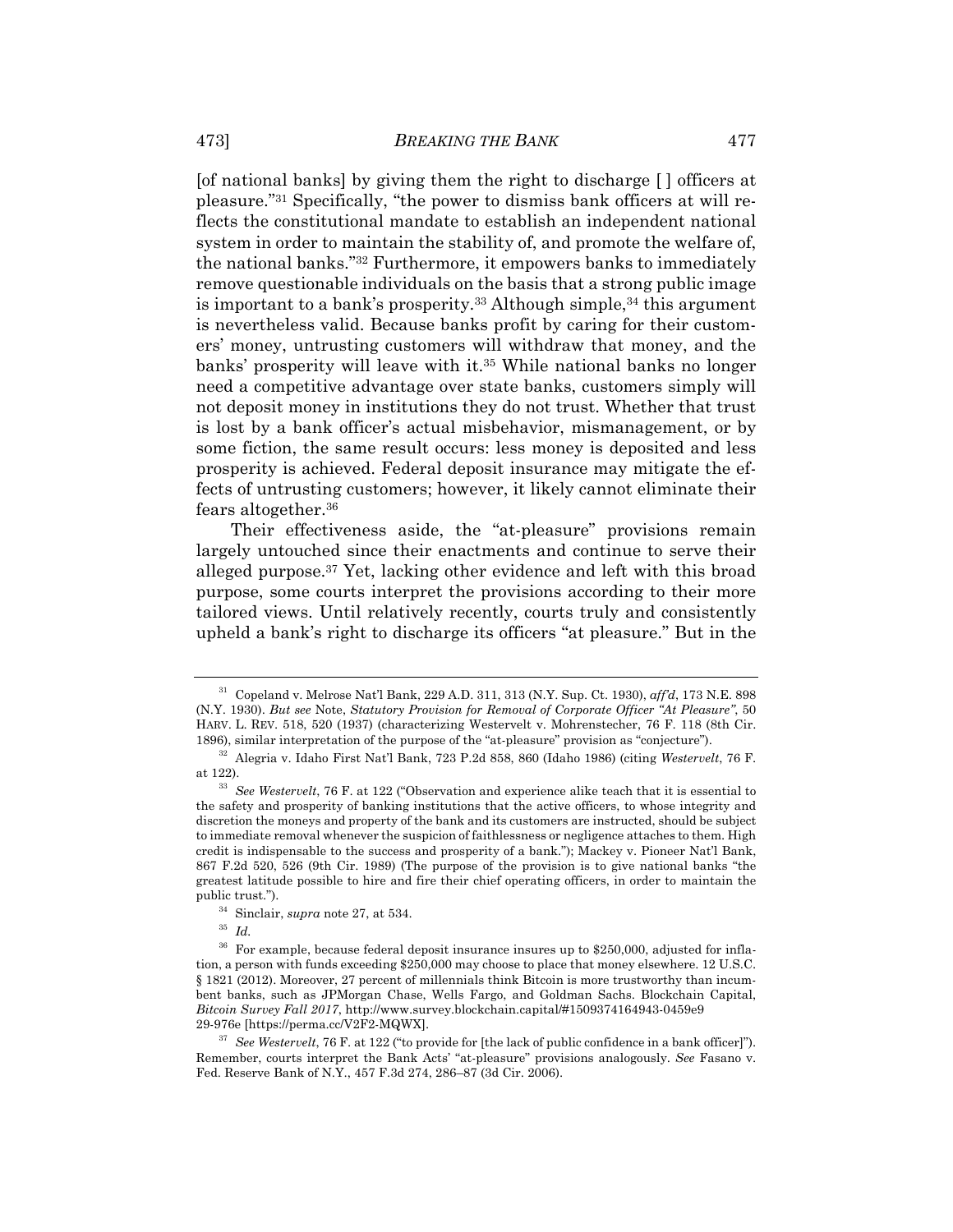[of national banks] by giving them the right to discharge [ ] officers at pleasure."31 Specifically, "the power to dismiss bank officers at will reflects the constitutional mandate to establish an independent national system in order to maintain the stability of, and promote the welfare of, the national banks."32 Furthermore, it empowers banks to immediately remove questionable individuals on the basis that a strong public image is important to a bank's prosperity.<sup>33</sup> Although simple,<sup>34</sup> this argument is nevertheless valid. Because banks profit by caring for their customers' money, untrusting customers will withdraw that money, and the banks' prosperity will leave with it.35 While national banks no longer need a competitive advantage over state banks, customers simply will not deposit money in institutions they do not trust. Whether that trust is lost by a bank officer's actual misbehavior, mismanagement, or by some fiction, the same result occurs: less money is deposited and less prosperity is achieved. Federal deposit insurance may mitigate the effects of untrusting customers; however, it likely cannot eliminate their fears altogether.36

Their effectiveness aside, the "at-pleasure" provisions remain largely untouched since their enactments and continue to serve their alleged purpose.37 Yet, lacking other evidence and left with this broad purpose, some courts interpret the provisions according to their more tailored views. Until relatively recently, courts truly and consistently upheld a bank's right to discharge its officers "at pleasure." But in the

<sup>31</sup> Copeland v. Melrose Nat'l Bank, 229 A.D. 311, 313 (N.Y. Sup. Ct. 1930), *aff'd*, 173 N.E. 898 (N.Y. 1930). *But see* Note, *Statutory Provision for Removal of Corporate Officer "At Pleasure"*, 50 HARV. L. REV. 518, 520 (1937) (characterizing Westervelt v. Mohrenstecher, 76 F. 118 (8th Cir.

<sup>1896),</sup> similar interpretation of the purpose of the "at-pleasure" provision as "conjecture"). 32 Alegria v. Idaho First Nat'l Bank, 723 P.2d 858, 860 (Idaho 1986) (citing *Westervelt*, 76 F. at 122).

<sup>33</sup> *See Westervelt*, 76 F. at 122 ("Observation and experience alike teach that it is essential to the safety and prosperity of banking institutions that the active officers, to whose integrity and discretion the moneys and property of the bank and its customers are instructed, should be subject to immediate removal whenever the suspicion of faithlessness or negligence attaches to them. High credit is indispensable to the success and prosperity of a bank."); Mackey v. Pioneer Nat'l Bank, 867 F.2d 520, 526 (9th Cir. 1989) (The purpose of the provision is to give national banks "the greatest latitude possible to hire and fire their chief operating officers, in order to maintain the public trust.").

<sup>34</sup> Sinclair, *supra* note 27, at 534. 35 *Id.*

<sup>&</sup>lt;sup>36</sup> For example, because federal deposit insurance insures up to \$250,000, adjusted for inflation, a person with funds exceeding \$250,000 may choose to place that money elsewhere. 12 U.S.C. § 1821 (2012). Moreover, 27 percent of millennials think Bitcoin is more trustworthy than incumbent banks, such as JPMorgan Chase, Wells Fargo, and Goldman Sachs. Blockchain Capital, *Bitcoin Survey Fall 2017*, http://www.survey.blockchain.capital/#1509374164943-0459e9

<sup>&</sup>lt;sup>37</sup> See Westervelt, 76 F. at 122 ("to provide for [the lack of public confidence in a bank officer]"). Remember, courts interpret the Bank Acts' "at-pleasure" provisions analogously. *See* Fasano v. Fed. Reserve Bank of N.Y., 457 F.3d 274, 286–87 (3d Cir. 2006).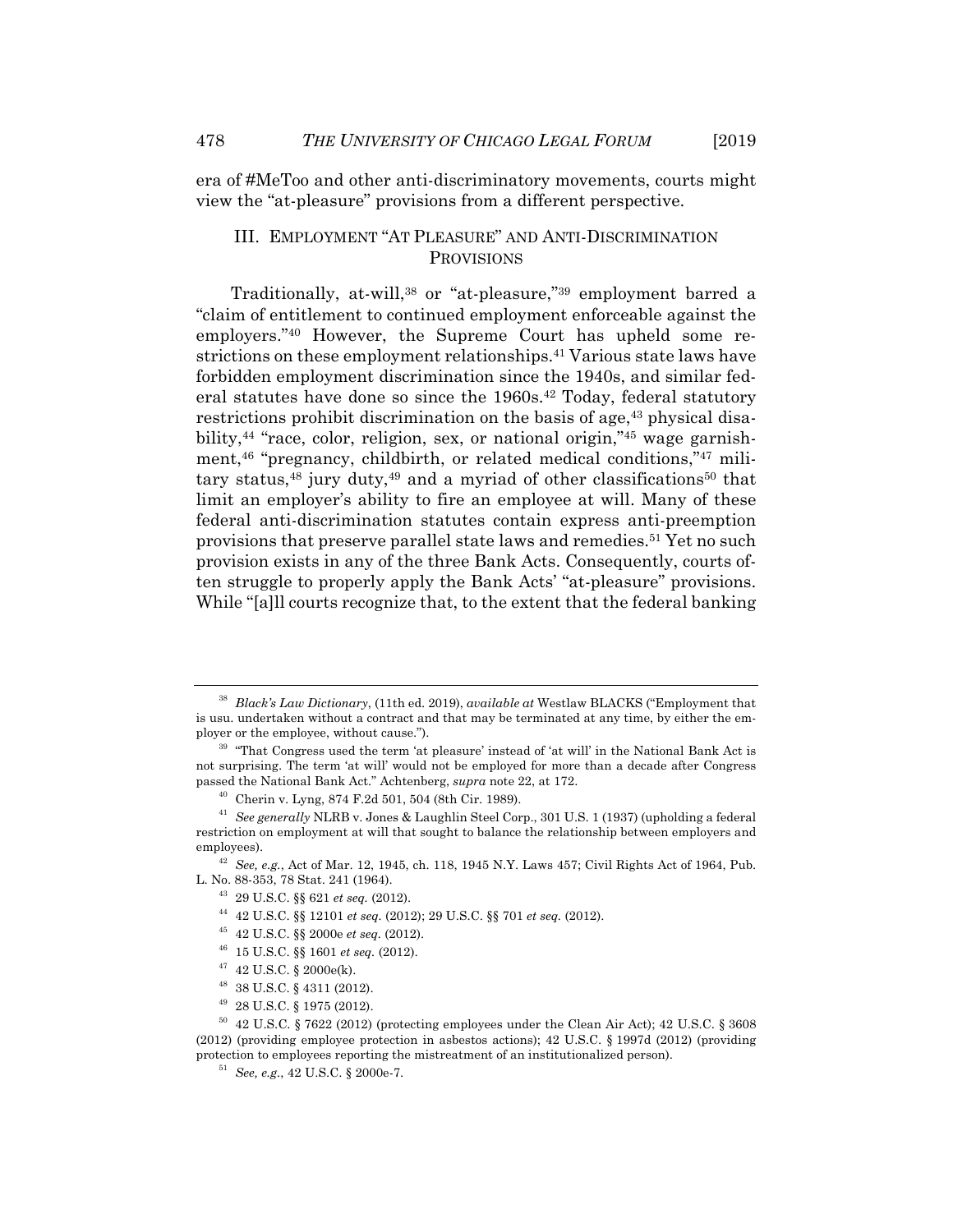era of #MeToo and other anti-discriminatory movements, courts might view the "at-pleasure" provisions from a different perspective.

## III. EMPLOYMENT "AT PLEASURE" AND ANTI-DISCRIMINATION PROVISIONS

Traditionally, at-will,<sup>38</sup> or "at-pleasure,"<sup>39</sup> employment barred a "claim of entitlement to continued employment enforceable against the employers."40 However, the Supreme Court has upheld some restrictions on these employment relationships.41 Various state laws have forbidden employment discrimination since the 1940s, and similar federal statutes have done so since the 1960s.<sup>42</sup> Today, federal statutory restrictions prohibit discrimination on the basis of age,<sup>43</sup> physical disability,<sup>44</sup> "race, color, religion, sex, or national origin,"<sup>45</sup> wage garnishment,46 "pregnancy, childbirth, or related medical conditions,"47 military status, $48$  jury duty, $49$  and a myriad of other classifications $50$  that limit an employer's ability to fire an employee at will. Many of these federal anti-discrimination statutes contain express anti-preemption provisions that preserve parallel state laws and remedies.51 Yet no such provision exists in any of the three Bank Acts. Consequently, courts often struggle to properly apply the Bank Acts' "at-pleasure" provisions. While "[a]ll courts recognize that, to the extent that the federal banking"

- 
- 
- 48 38 U.S.C. § 4311 (2012).
- 49 28 U.S.C. § 1975 (2012).

<sup>38</sup> *Black's Law Dictionary*, (11th ed. 2019), *available at* Westlaw BLACKS ("Employment that is usu. undertaken without a contract and that may be terminated at any time, by either the em-<br>ployer or the employee, without cause.").

 $39$  "That Congress used the term 'at pleasure' instead of 'at will' in the National Bank Act is not surprising. The term 'at will' would not be employed for more than a decade after Congress<br>passed the National Bank Act." Achtenberg, *supra* note 22, at 172.

<sup>&</sup>lt;sup>40</sup> Cherin v. Lyng, 874 F.2d 501, 504 (8th Cir. 1989).

<sup>41</sup> *See generally* NLRB v. Jones & Laughlin Steel Corp., 301 U.S. 1 (1937) (upholding a federal restriction on employment at will that sought to balance the relationship between employers and

employees). 42<br>
42 See, e.g., Act of Mar. 12, 1945, ch. 118, 1945 N.Y. Laws 457; Civil Rights Act of 1964, Pub.<br>
12, No. 88-353, 78 Stat. 241 (1964).

 $\begin{array}{l} ^{43} \ \ 29 \text{ U.S.C.} \ \ \S\ \ \$ \ 21 \ et \ seq. \ (2012). \\ \ \ ^{44} \ \ 42 \text{ U.S.C.} \ \ \S\ \ $ \ 12101 \ et \ seq. \ (2012); \ \ 29 \text{ U.S.C.} \ \ \S\ \ \ 701 \ et \ seq. \ (2012). \\ \ \ ^{45} \ \ 42 \text{ U.S.C.} \ \ \S\ \ \ 2000 e \ et \ seq. \ (2012). \\ \ \ ^{46} \ \ 15 \text{ U.S.C.$ 

 $50\quad 42 \text{ U.S.C. }$  § 7622 (2012) (protecting employees under the Clean Air Act); 42 U.S.C. § 3608 (2012) (providing employee protection in asbestos actions); 42 U.S.C. § 1997d (2012) (providing protection to employees reporting the mistreatment of an institutionalized person).<br><sup>51</sup> *See, e.g.,* 42 U.S.C. § 2000e-7.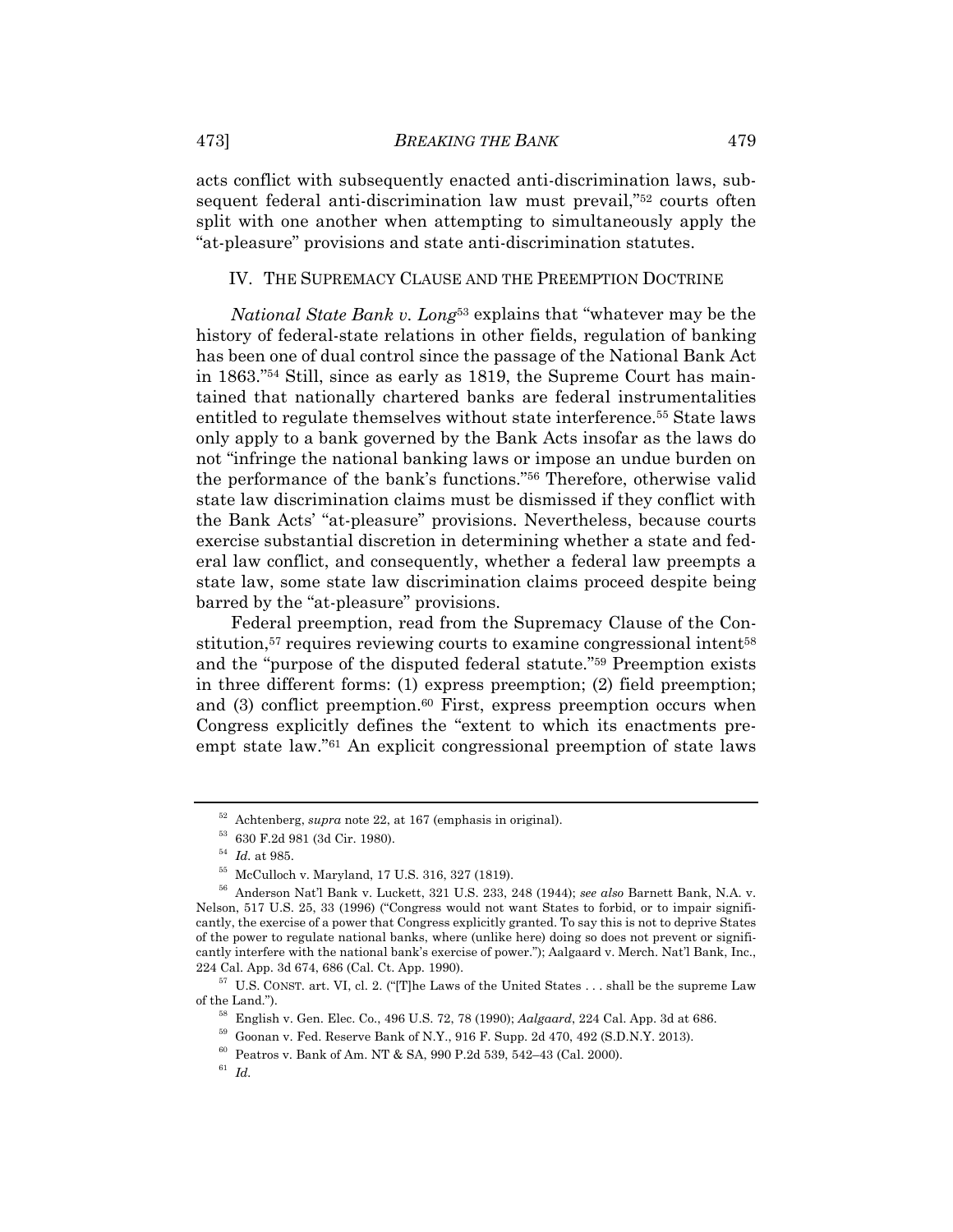acts conflict with subsequently enacted anti-discrimination laws, subsequent federal anti-discrimination law must prevail,"52 courts often split with one another when attempting to simultaneously apply the "at-pleasure" provisions and state anti-discrimination statutes.

#### IV. THE SUPREMACY CLAUSE AND THE PREEMPTION DOCTRINE

*National State Bank v. Long*53 explains that "whatever may be the history of federal-state relations in other fields, regulation of banking has been one of dual control since the passage of the National Bank Act in 1863."54 Still, since as early as 1819, the Supreme Court has maintained that nationally chartered banks are federal instrumentalities entitled to regulate themselves without state interference.55 State laws only apply to a bank governed by the Bank Acts insofar as the laws do not "infringe the national banking laws or impose an undue burden on the performance of the bank's functions."56 Therefore, otherwise valid state law discrimination claims must be dismissed if they conflict with the Bank Acts' "at-pleasure" provisions. Nevertheless, because courts exercise substantial discretion in determining whether a state and federal law conflict, and consequently, whether a federal law preempts a state law, some state law discrimination claims proceed despite being barred by the "at-pleasure" provisions.

Federal preemption, read from the Supremacy Clause of the Constitution,<sup>57</sup> requires reviewing courts to examine congressional intent<sup>58</sup> and the "purpose of the disputed federal statute."59 Preemption exists in three different forms: (1) express preemption; (2) field preemption; and (3) conflict preemption.<sup>60</sup> First, express preemption occurs when Congress explicitly defines the "extent to which its enactments preempt state law."61 An explicit congressional preemption of state laws

<sup>&</sup>lt;sup>52</sup> Achtenberg, *supra* note 22, at 167 (emphasis in original).<br><sup>53</sup> 630 F.2d 981 (3d Cir. 1980).<br><sup>54</sup> *Id.* at 985.

<sup>&</sup>lt;sup>55</sup> McCulloch v. Maryland, 17 U.S. 316, 327 (1819).

<sup>56</sup> Anderson Nat'l Bank v. Luckett, 321 U.S. 233, 248 (1944); *see also* Barnett Bank, N.A. v. Nelson, 517 U.S. 25, 33 (1996) ("Congress would not want States to forbid, or to impair significantly, the exercise of a power that Congress explicitly granted. To say this is not to deprive States of the power to regulate national banks, where (unlike here) doing so does not prevent or significantly interfere with the national bank's exercise of power."); Aalgaard v. Merch. Nat'l Bank, Inc., 224 Cal. App. 3d 674, 686 (Cal. Ct. App. 1990).<br><sup>57</sup> U.S. CONST. art. VI, cl. 2. ("[T]he Laws of the United States . . . shall be the supreme Law

<sup>%</sup> of the Land.").<br>
<sup>58</sup> English v. Gen. Elec. Co., 496 U.S. 72, 78 (1990); *Aalgaard*, 224 Cal. App. 3d at 686.<br>
<sup>59</sup> Goonan v. Fed. Reserve Bank of N.Y., 916 F. Supp. 2d 470, 492 (S.D.N.Y. 2013).<br>
<sup>60</sup> Peatros v. Bank of

<sup>61</sup> *Id.*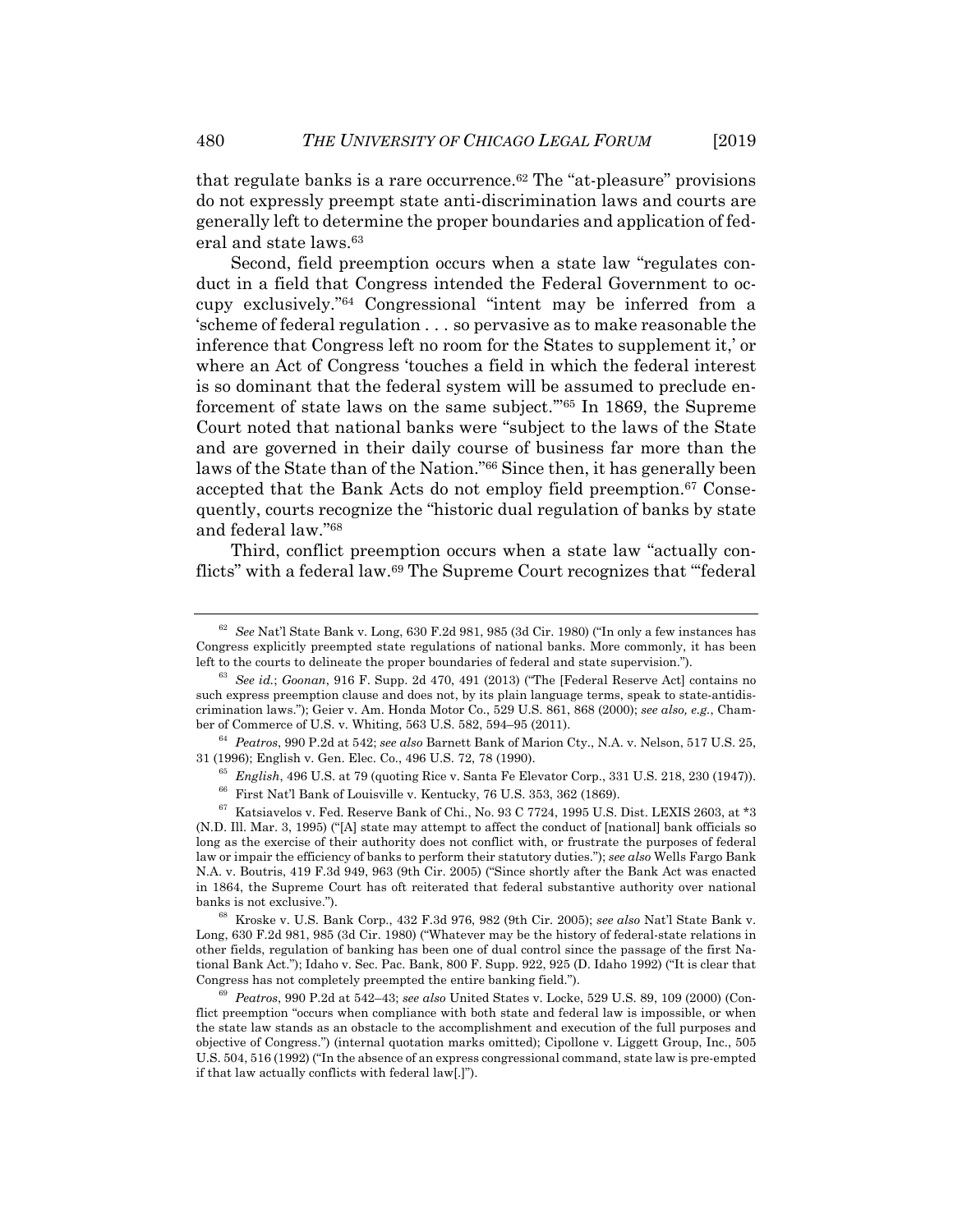that regulate banks is a rare occurrence.62 The "at-pleasure" provisions do not expressly preempt state anti-discrimination laws and courts are generally left to determine the proper boundaries and application of federal and state laws.63

Second, field preemption occurs when a state law "regulates conduct in a field that Congress intended the Federal Government to occupy exclusively."64 Congressional "intent may be inferred from a 'scheme of federal regulation . . . so pervasive as to make reasonable the inference that Congress left no room for the States to supplement it,' or where an Act of Congress 'touches a field in which the federal interest is so dominant that the federal system will be assumed to preclude enforcement of state laws on the same subject.'"65 In 1869, the Supreme Court noted that national banks were "subject to the laws of the State and are governed in their daily course of business far more than the laws of the State than of the Nation."66 Since then, it has generally been accepted that the Bank Acts do not employ field preemption.<sup>67</sup> Consequently, courts recognize the "historic dual regulation of banks by state and federal law."68

Third, conflict preemption occurs when a state law "actually conflicts" with a federal law.69 The Supreme Court recognizes that "'federal

banks is not exclusive."). 68 Kroske v. U.S. Bank Corp., 432 F.3d 976, 982 (9th Cir. 2005); *see also* Nat'l State Bank v. Long, 630 F.2d 981, 985 (3d Cir. 1980) ("Whatever may be the history of federal-state relations in other fields, regulation of banking has been one of dual control since the passage of the first National Bank Act."); Idaho v. Sec. Pac. Bank, 800 F. Supp. 922, 925 (D. Idaho 1992) ("It is clear that Congress has not completely preempted the entire banking field."). 69 *Peatros*, 990 P.2d at 542–43; *see also* United States v. Locke, 529 U.S. 89, 109 (2000) (Con-

flict preemption "occurs when compliance with both state and federal law is impossible, or when the state law stands as an obstacle to the accomplishment and execution of the full purposes and objective of Congress.") (internal quotation marks omitted); Cipollone v. Liggett Group, Inc., 505 U.S. 504, 516 (1992) ("In the absence of an express congressional command, state law is pre-empted if that law actually conflicts with federal law[.]").

<sup>62</sup> *See* Nat'l State Bank v. Long, 630 F.2d 981, 985 (3d Cir. 1980) ("In only a few instances has Congress explicitly preempted state regulations of national banks. More commonly, it has been left to the courts to delineate the proper boundaries of federal and state supervision.").

<sup>63</sup> *See id.*; *Goonan*, 916 F. Supp. 2d 470, 491 (2013) ("The [Federal Reserve Act] contains no such express preemption clause and does not, by its plain language terms, speak to state-antidiscrimination laws."); Geier v. Am. Honda Motor Co., 529 U.S. 861, 868 (2000); *see also, e.g.*, Cham-

ber of Commerce of U.S. v. Whiting, 563 U.S. 582, 594–95 (2011). 64 *Peatros*, 990 P.2d at 542; *see also* Barnett Bank of Marion Cty., N.A. v. Nelson, 517 U.S. 25,

<sup>&</sup>lt;sup>65</sup> English, 496 U.S. at 79 (quoting Rice v. Santa Fe Elevator Corp., 331 U.S. 218, 230 (1947)).<br><sup>66</sup> First Nat'l Bank of Louisville v. Kentucky, 76 U.S. 353, 362 (1869).<br><sup>67</sup> Katsiavelos v. Fed. Reserve Bank of Chi., No

<sup>(</sup>N.D. Ill. Mar. 3, 1995) ("[A] state may attempt to affect the conduct of [national] bank officials so long as the exercise of their authority does not conflict with, or frustrate the purposes of federal law or impair the efficiency of banks to perform their statutory duties."); *see also* Wells Fargo Bank N.A. v. Boutris, 419 F.3d 949, 963 (9th Cir. 2005) ("Since shortly after the Bank Act was enacted in 1864, the Supreme Court has oft reiterated that federal substantive authority over national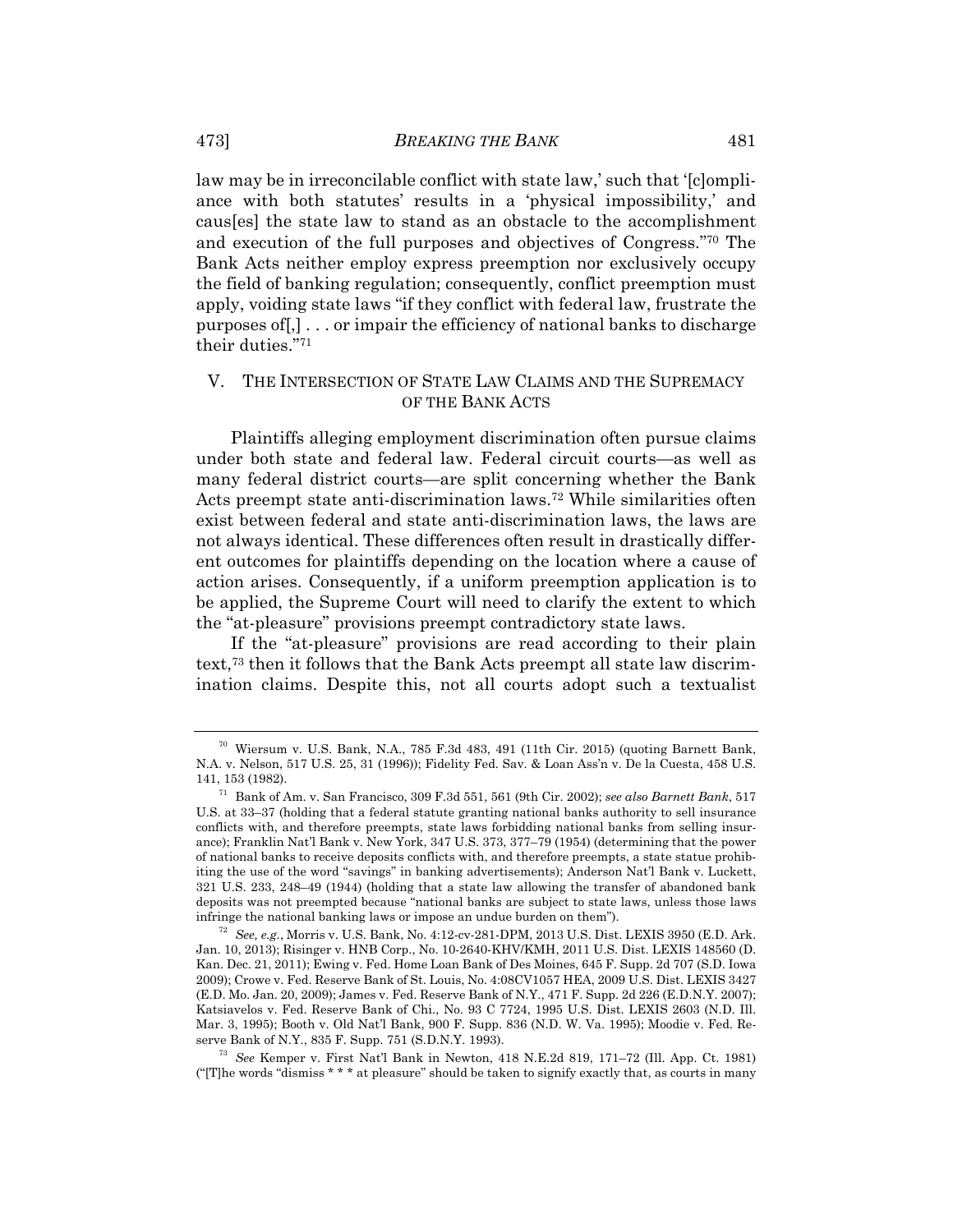law may be in irreconcilable conflict with state law,' such that '[clompliance with both statutes' results in a 'physical impossibility,' and caus[es] the state law to stand as an obstacle to the accomplishment and execution of the full purposes and objectives of Congress."70 The Bank Acts neither employ express preemption nor exclusively occupy the field of banking regulation; consequently, conflict preemption must apply, voiding state laws "if they conflict with federal law, frustrate the purposes of[,] . . . or impair the efficiency of national banks to discharge their duties."71

### V. THE INTERSECTION OF STATE LAW CLAIMS AND THE SUPREMACY OF THE BANK ACTS

Plaintiffs alleging employment discrimination often pursue claims under both state and federal law. Federal circuit courts—as well as many federal district courts—are split concerning whether the Bank Acts preempt state anti-discrimination laws.72 While similarities often exist between federal and state anti-discrimination laws, the laws are not always identical. These differences often result in drastically different outcomes for plaintiffs depending on the location where a cause of action arises. Consequently, if a uniform preemption application is to be applied, the Supreme Court will need to clarify the extent to which the "at-pleasure" provisions preempt contradictory state laws.

If the "at-pleasure" provisions are read according to their plain text,73 then it follows that the Bank Acts preempt all state law discrimination claims. Despite this, not all courts adopt such a textualist

 $70$  Wiersum v. U.S. Bank, N.A., 785 F.3d 483, 491 (11th Cir. 2015) (quoting Barnett Bank, N.A. v. Nelson, 517 U.S. 25, 31 (1996)); Fidelity Fed. Sav. & Loan Ass'n v. De la Cuesta, 458 U.S.

<sup>141, 153 (1982). 71</sup> Bank of Am. v. San Francisco, 309 F.3d 551, 561 (9th Cir. 2002); *see also Barnett Bank*, 517 U.S. at 33–37 (holding that a federal statute granting national banks authority to sell insurance conflicts with, and therefore preempts, state laws forbidding national banks from selling insurance); Franklin Nat'l Bank v. New York, 347 U.S. 373, 377–79 (1954) (determining that the power of national banks to receive deposits conflicts with, and therefore preempts, a state statue prohibiting the use of the word "savings" in banking advertisements); Anderson Nat'l Bank v. Luckett, 321 U.S. 233, 248–49 (1944) (holding that a state law allowing the transfer of abandoned bank deposits was not preempted because "national banks are subject to state laws, unless those laws<br>infringe the national banking laws or impose an undue burden on them").

<sup>&</sup>lt;sup>72</sup> See, e.g., Morris v. U.S. Bank, No. 4:12-cv-281-DPM, 2013 U.S. Dist. LEXIS 3950 (E.D. Ark. Jan. 10, 2013); Risinger v. HNB Corp., No. 10-2640-KHV/KMH, 2011 U.S. Dist. LEXIS 148560 (D. Kan. Dec. 21, 2011); Ewing v. Fed. Home Loan Bank of Des Moines, 645 F. Supp. 2d 707 (S.D. Iowa 2009); Crowe v. Fed. Reserve Bank of St. Louis, No. 4:08CV1057 HEA, 2009 U.S. Dist. LEXIS 3427 (E.D. Mo. Jan. 20, 2009); James v. Fed. Reserve Bank of N.Y., 471 F. Supp. 2d 226 (E.D.N.Y. 2007); Katsiavelos v. Fed. Reserve Bank of Chi., No. 93 C 7724, 1995 U.S. Dist. LEXIS 2603 (N.D. Ill. Mar. 3, 1995); Booth v. Old Nat'l Bank, 900 F. Supp. 836 (N.D. W. Va. 1995); Moodie v. Fed. Reserve Bank of N.Y., 835 F. Supp. 751 (S.D.N.Y. 1993). 73 *See* Kemper v. First Nat'l Bank in Newton, 418 N.E.2d 819, 171–72 (Ill. App. Ct. 1981)

<sup>(&</sup>quot;[T]he words "dismiss \* \* \* at pleasure" should be taken to signify exactly that, as courts in many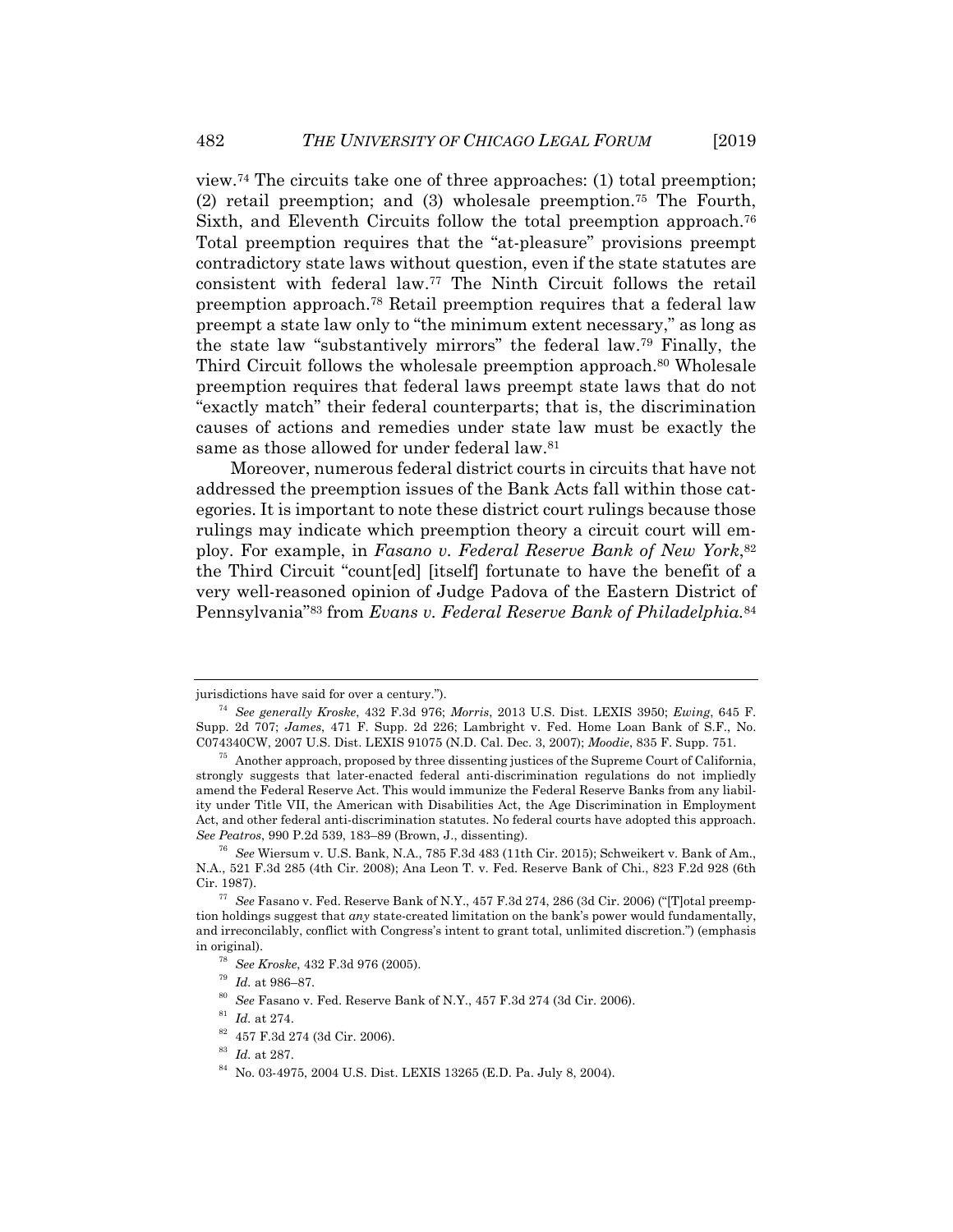view.74 The circuits take one of three approaches: (1) total preemption; (2) retail preemption; and (3) wholesale preemption.75 The Fourth, Sixth, and Eleventh Circuits follow the total preemption approach.<sup>76</sup> Total preemption requires that the "at-pleasure" provisions preempt contradictory state laws without question, even if the state statutes are consistent with federal law.77 The Ninth Circuit follows the retail preemption approach.78 Retail preemption requires that a federal law preempt a state law only to "the minimum extent necessary," as long as the state law "substantively mirrors" the federal law.79 Finally, the Third Circuit follows the wholesale preemption approach.<sup>80</sup> Wholesale preemption requires that federal laws preempt state laws that do not "exactly match" their federal counterparts; that is, the discrimination causes of actions and remedies under state law must be exactly the same as those allowed for under federal law.<sup>81</sup>

Moreover, numerous federal district courts in circuits that have not addressed the preemption issues of the Bank Acts fall within those categories. It is important to note these district court rulings because those rulings may indicate which preemption theory a circuit court will employ. For example, in *Fasano v. Federal Reserve Bank of New York*,82 the Third Circuit "count[ed] [itself] fortunate to have the benefit of a very well-reasoned opinion of Judge Padova of the Eastern District of Pennsylvania"83 from *Evans v. Federal Reserve Bank of Philadelphia.*<sup>84</sup>

jurisdictions have said for over a century."). 74 *See generally Kroske*, 432 F.3d 976; *Morris*, 2013 U.S. Dist. LEXIS 3950; *Ewing*, 645 F. Supp. 2d 707; *James*, 471 F. Supp. 2d 226; Lambright v. Fed. Home Loan Bank of S.F., No.

<sup>&</sup>lt;sup>75</sup> Another approach, proposed by three dissenting justices of the Supreme Court of California, strongly suggests that later-enacted federal anti-discrimination regulations do not impliedly amend the Federal Reserve Act. This would immunize the Federal Reserve Banks from any liability under Title VII, the American with Disabilities Act, the Age Discrimination in Employment Act, and other federal anti-discrimination statutes. No federal courts have adopted this approach. *See Peatros*, 990 P.2d 539, 183–89 (Brown, J., dissenting). 76 *See* Wiersum v. U.S. Bank, N.A., 785 F.3d 483 (11th Cir. 2015); Schweikert v. Bank of Am.,

N.A., 521 F.3d 285 (4th Cir. 2008); Ana Leon T. v. Fed. Reserve Bank of Chi., 823 F.2d 928 (6th Cir. 1987). 77 *See* Fasano v. Fed. Reserve Bank of N.Y., 457 F.3d 274, 286 (3d Cir. 2006) ("[T]otal preemp-

tion holdings suggest that *any* state-created limitation on the bank's power would fundamentally, and irreconcilably, conflict with Congress's intent to grant total, unlimited discretion.") (emphasis in original).<br><sup>78</sup> *See Kroske*, 432 F.3d 976 (2005).<br><sup>79</sup> *Id.* at 986–87.<br><sup>80</sup> *See* Fasano v. Fed. Reserve Bank of N.Y., 457 F.3d 274 (3d Cir. 2006).<br><sup>81</sup> *Id.* at 274.<br><sup>82</sup> 457 F.3d 274 (3d Cir. 2006).

<sup>&</sup>lt;sup>83</sup> Id. at 287.<br><sup>84</sup> No. 03-4975, 2004 U.S. Dist. LEXIS 13265 (E.D. Pa. July 8, 2004).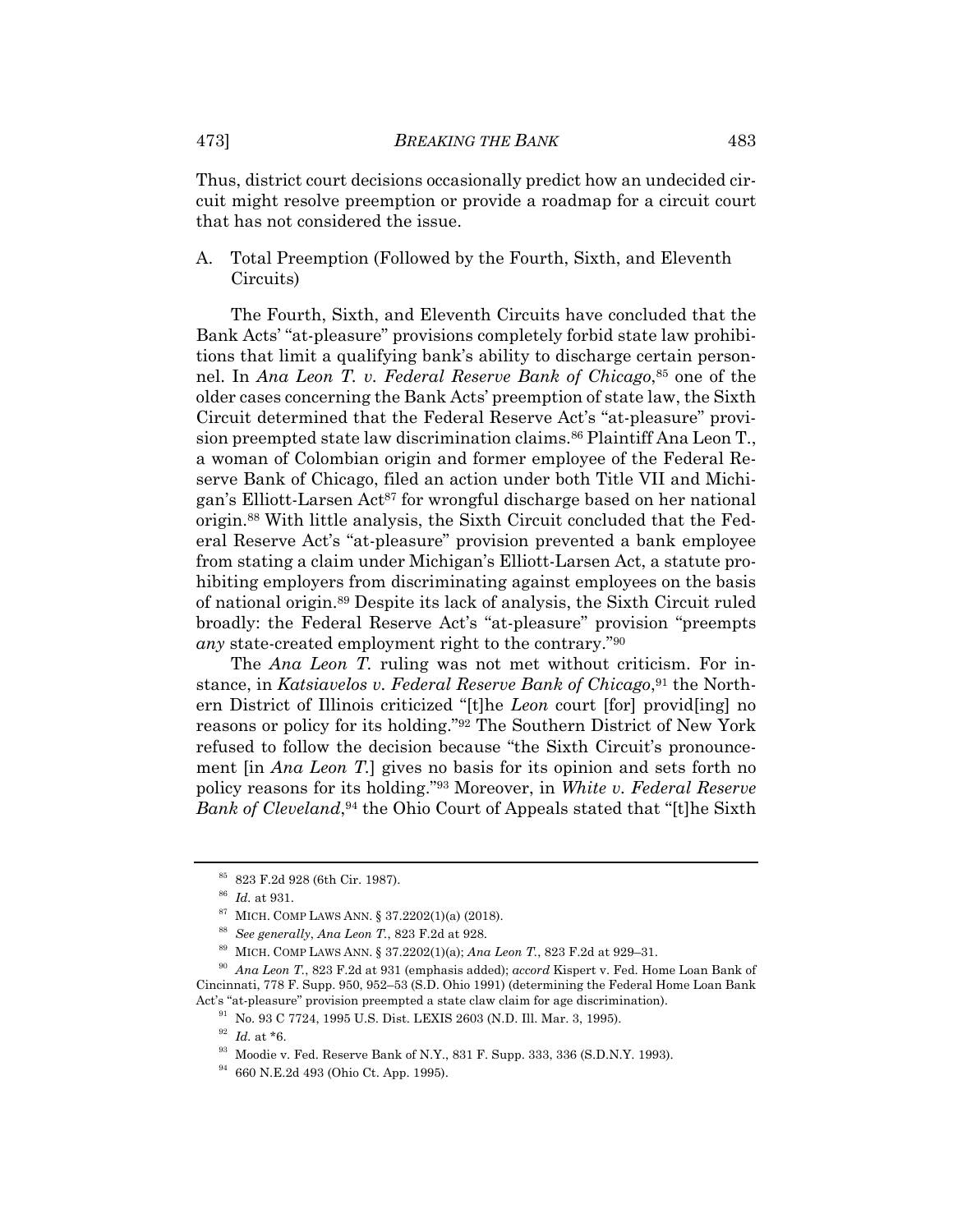Thus, district court decisions occasionally predict how an undecided circuit might resolve preemption or provide a roadmap for a circuit court that has not considered the issue.

A. Total Preemption (Followed by the Fourth, Sixth, and Eleventh Circuits)

The Fourth, Sixth, and Eleventh Circuits have concluded that the Bank Acts' "at-pleasure" provisions completely forbid state law prohibitions that limit a qualifying bank's ability to discharge certain personnel. In *Ana Leon T. v. Federal Reserve Bank of Chicago*,<sup>85</sup> one of the older cases concerning the Bank Acts' preemption of state law, the Sixth Circuit determined that the Federal Reserve Act's "at-pleasure" provision preempted state law discrimination claims.<sup>86</sup> Plaintiff Ana Leon T., a woman of Colombian origin and former employee of the Federal Reserve Bank of Chicago, filed an action under both Title VII and Michigan's Elliott-Larsen Act<sup>87</sup> for wrongful discharge based on her national origin.88 With little analysis, the Sixth Circuit concluded that the Federal Reserve Act's "at-pleasure" provision prevented a bank employee from stating a claim under Michigan's Elliott-Larsen Act, a statute prohibiting employers from discriminating against employees on the basis of national origin.89 Despite its lack of analysis, the Sixth Circuit ruled broadly: the Federal Reserve Act's "at-pleasure" provision "preempts *any* state-created employment right to the contrary."90

The *Ana Leon T.* ruling was not met without criticism. For instance, in *Katsiavelos v. Federal Reserve Bank of Chicago*,<sup>91</sup> the Northern District of Illinois criticized "[t]he *Leon* court [for] provid[ing] no reasons or policy for its holding."92 The Southern District of New York refused to follow the decision because "the Sixth Circuit's pronouncement [in *Ana Leon T.*] gives no basis for its opinion and sets forth no policy reasons for its holding."93 Moreover, in *White v. Federal Reserve Bank of Cleveland*,<sup>94</sup> the Ohio Court of Appeals stated that "[t]he Sixth

<sup>85 823</sup> F.2d 928 (6th Cir. 1987).

<sup>&</sup>lt;sup>86</sup> *Id.* at 931.<br><sup>87</sup> MICH. COMP LAWS ANN. § 37.2202(1)(a) (2018).<br><sup>88</sup> *See generally, Ana Leon T.*, 823 F.2d at 928.<br><sup>89</sup> MICH. COMP LAWS ANN. § 37.2202(1)(a); *Ana Leon T.*, 823 F.2d at 929–31.<br><sup>90</sup> *Ana Leon T.*, 82 Cincinnati, 778 F. Supp. 950, 952–53 (S.D. Ohio 1991) (determining the Federal Home Loan Bank Act's "at-pleasure" provision preempted a state claw claim for age discrimination). 91 No. 93 C 7724, 1995 U.S. Dist. LEXIS 2603 (N.D. Ill. Mar. 3, 1995).

<sup>&</sup>lt;sup>92</sup> *Id.* at \*6.<br><sup>93</sup> Moodie v. Fed. Reserve Bank of N.Y., 831 F. Supp. 333, 336 (S.D.N.Y. 1993).<br><sup>94</sup> 660 N.E.2d 493 (Ohio Ct. App. 1995).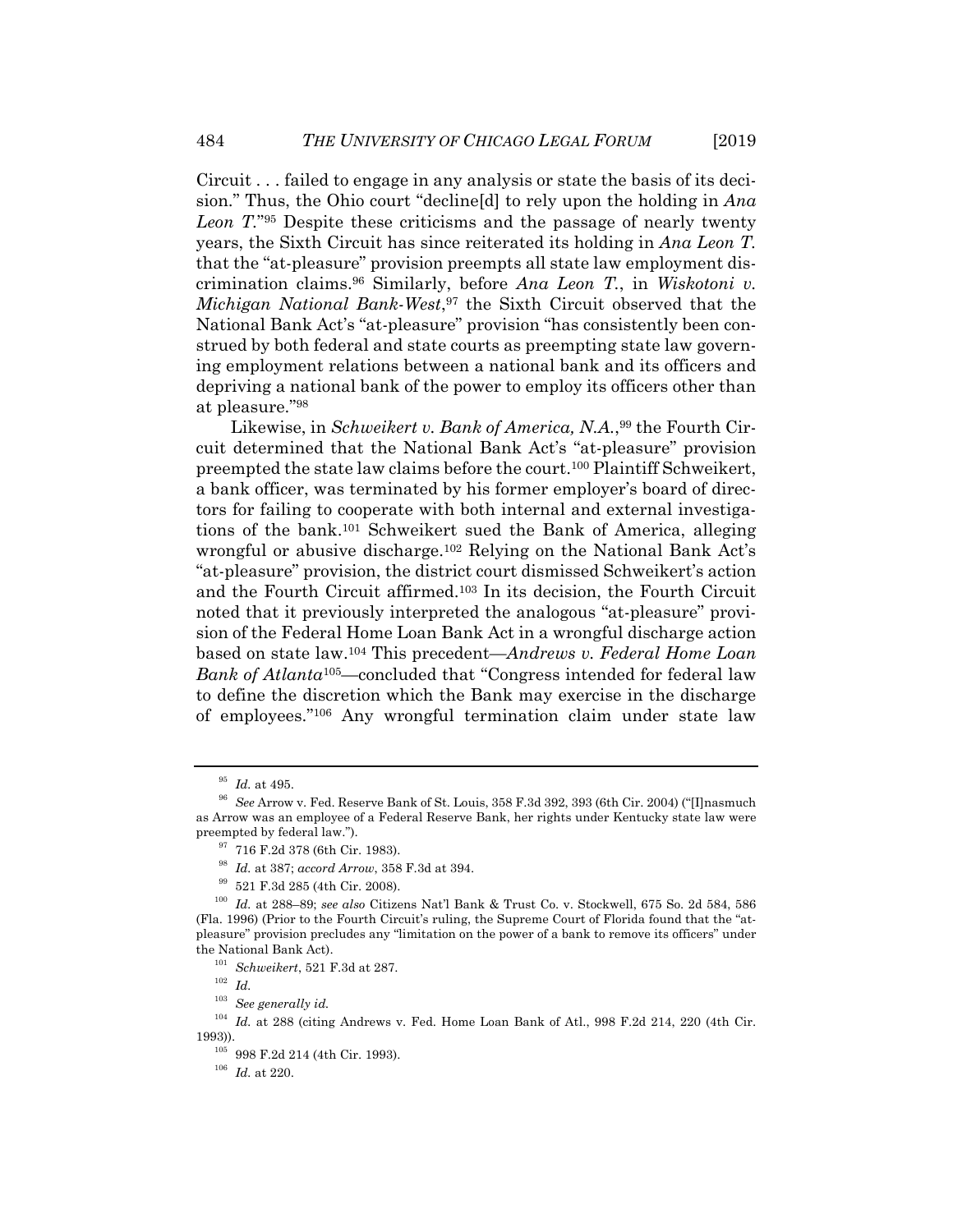Circuit . . . failed to engage in any analysis or state the basis of its decision." Thus, the Ohio court "decline[d] to rely upon the holding in *Ana Leon T.*"95 Despite these criticisms and the passage of nearly twenty years, the Sixth Circuit has since reiterated its holding in *Ana Leon T.* that the "at-pleasure" provision preempts all state law employment discrimination claims.96 Similarly, before *Ana Leon T.*, in *Wiskotoni v. Michigan National Bank-West*,97 the Sixth Circuit observed that the National Bank Act's "at-pleasure" provision "has consistently been construed by both federal and state courts as preempting state law governing employment relations between a national bank and its officers and depriving a national bank of the power to employ its officers other than at pleasure."98

Likewise, in *Schweikert v. Bank of America*, N.A.,<sup>99</sup> the Fourth Circuit determined that the National Bank Act's "at-pleasure" provision preempted the state law claims before the court.100 Plaintiff Schweikert, a bank officer, was terminated by his former employer's board of directors for failing to cooperate with both internal and external investigations of the bank.101 Schweikert sued the Bank of America, alleging wrongful or abusive discharge.102 Relying on the National Bank Act's "at-pleasure" provision, the district court dismissed Schweikert's action and the Fourth Circuit affirmed.103 In its decision, the Fourth Circuit noted that it previously interpreted the analogous "at-pleasure" provision of the Federal Home Loan Bank Act in a wrongful discharge action based on state law.104 This precedent—*Andrews v. Federal Home Loan Bank of Atlanta*105—concluded that "Congress intended for federal law to define the discretion which the Bank may exercise in the discharge of employees."106 Any wrongful termination claim under state law

<sup>95</sup> *Id.* at 495. 96 *See* Arrow v. Fed. Reserve Bank of St. Louis, 358 F.3d 392, 393 (6th Cir. 2004) ("[I]nasmuch as Arrow was an employee of a Federal Reserve Bank, her rights under Kentucky state law were preempted by federal law.").<br> $\frac{97}{7}$  716 F.2d 378 (6th Cir. 1983).

<sup>98</sup> *Id.* at 387; *accord Arrow*, 358 F.3d at 394. 99 521 F.3d 285 (4th Cir. 2008). 100 *Id.* at 288–89; *see also* Citizens Nat'l Bank & Trust Co. v. Stockwell, 675 So. 2d 584, 586 (Fla. 1996) (Prior to the Fourth Circuit's ruling, the Supreme Court of Florida found that the "atpleasure" provision precludes any "limitation on the power of a bank to remove its officers" under the National Bank Act). 101 *Schweikert*, 521 F.3d at 287. 102 *Id.* 

<sup>103</sup> *See generally id.*

<sup>&</sup>lt;sup>104</sup> Id. at 288 (citing Andrews v. Fed. Home Loan Bank of Atl., 998 F.2d 214, 220 (4th Cir. 1993)). 105 998 F.2d 214 (4th Cir. 1993). 106 *Id.* at 220.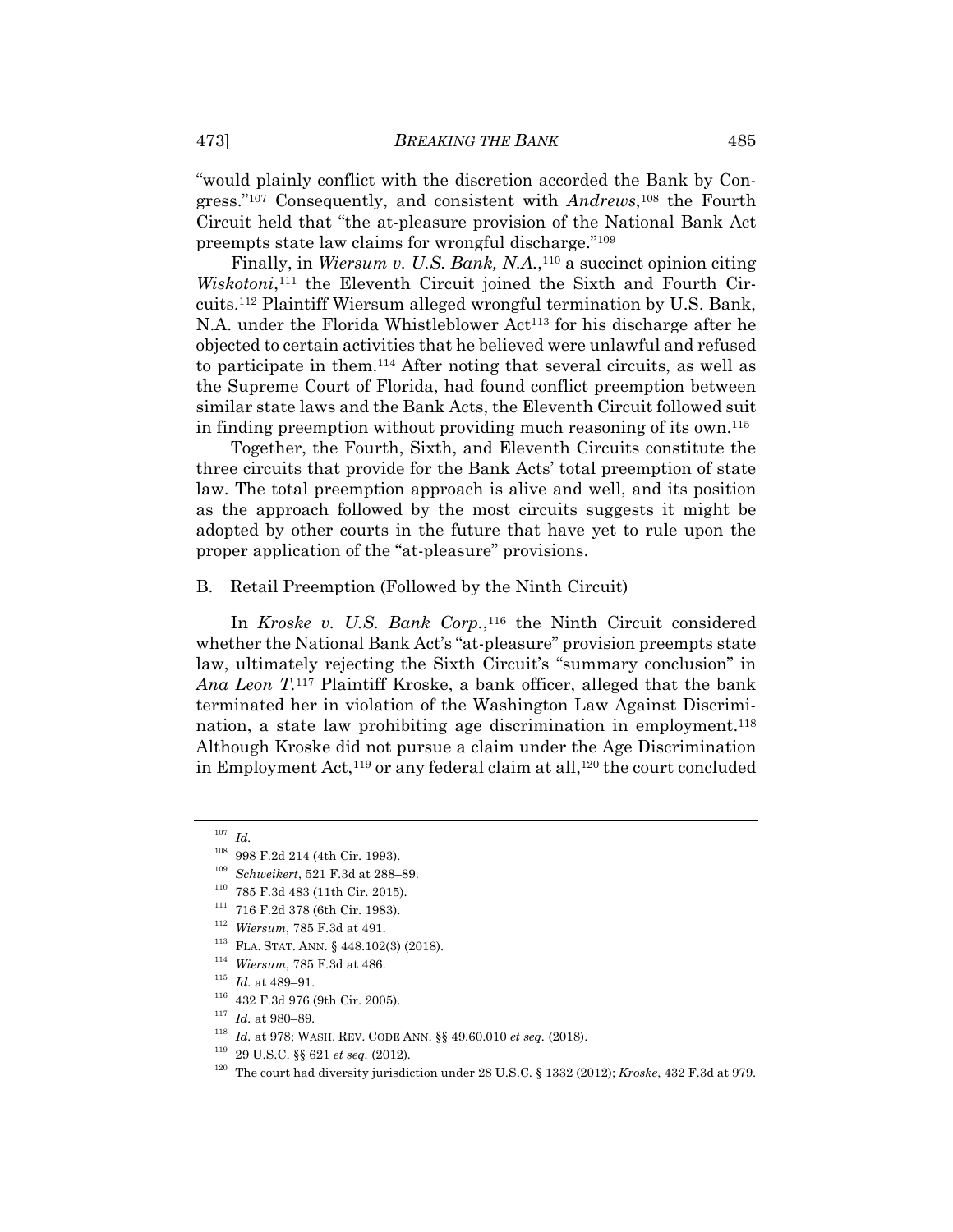"would plainly conflict with the discretion accorded the Bank by Congress."107 Consequently, and consistent with *Andrews*,108 the Fourth Circuit held that "the at-pleasure provision of the National Bank Act preempts state law claims for wrongful discharge."109

Finally, in *Wiersum v. U.S. Bank, N.A.*,<sup>110</sup> a succinct opinion citing *Wiskotoni*,<sup>111</sup> the Eleventh Circuit joined the Sixth and Fourth Circuits.112 Plaintiff Wiersum alleged wrongful termination by U.S. Bank, N.A. under the Florida Whistleblower Act<sup>113</sup> for his discharge after he objected to certain activities that he believed were unlawful and refused to participate in them.114 After noting that several circuits, as well as the Supreme Court of Florida, had found conflict preemption between similar state laws and the Bank Acts, the Eleventh Circuit followed suit in finding preemption without providing much reasoning of its own.115

Together, the Fourth, Sixth, and Eleventh Circuits constitute the three circuits that provide for the Bank Acts' total preemption of state law. The total preemption approach is alive and well, and its position as the approach followed by the most circuits suggests it might be adopted by other courts in the future that have yet to rule upon the proper application of the "at-pleasure" provisions.

#### B. Retail Preemption (Followed by the Ninth Circuit)

In *Kroske v. U.S. Bank Corp.*,<sup>116</sup> the Ninth Circuit considered whether the National Bank Act's "at-pleasure" provision preempts state law, ultimately rejecting the Sixth Circuit's "summary conclusion" in *Ana Leon T.*117 Plaintiff Kroske, a bank officer, alleged that the bank terminated her in violation of the Washington Law Against Discrimination, a state law prohibiting age discrimination in employment.<sup>118</sup> Although Kroske did not pursue a claim under the Age Discrimination in Employment Act,<sup>119</sup> or any federal claim at all,<sup>120</sup> the court concluded

<sup>107</sup> *Id.*

<sup>&</sup>lt;sup>108</sup> 998 F.2d 214 (4th Cir. 1993).<br><sup>109</sup> *Schweikert*, 521 F.3d at 288–89.<br><sup>110</sup> 785 F.3d 483 (11th Cir. 2015).<br><sup>111</sup> 716 F.2d 378 (6th Cir. 1983).<br><sup>112</sup> *Wiersum*, 785 F.3d at 491.<br><sup>113</sup> FLA. STAT. ANN. § 448.102(3) (20

<sup>120</sup> The court had diversity jurisdiction under 28 U.S.C. § 1332 (2012); *Kroske*, 432 F.3d at 979.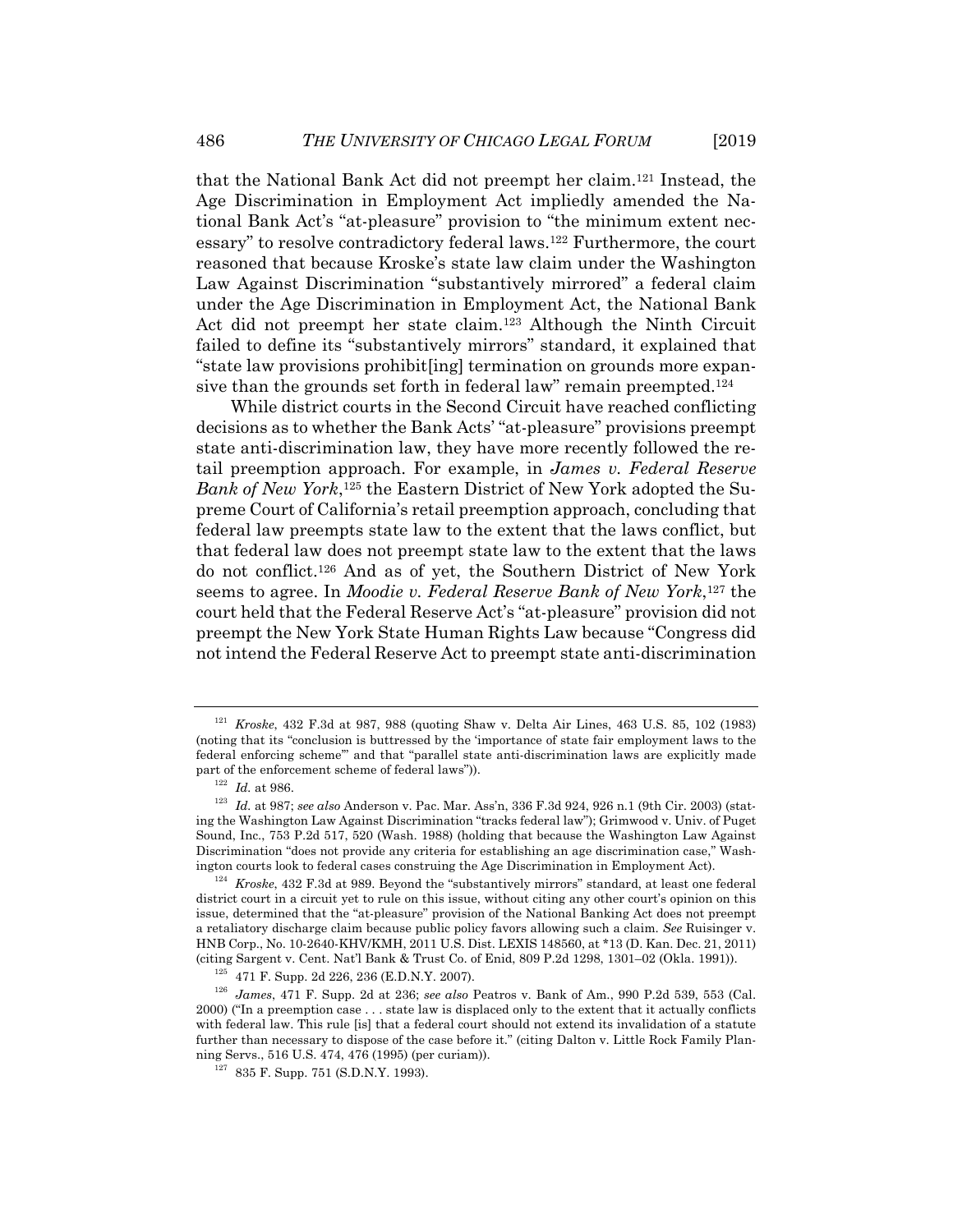that the National Bank Act did not preempt her claim.121 Instead, the Age Discrimination in Employment Act impliedly amended the National Bank Act's "at-pleasure" provision to "the minimum extent necessary" to resolve contradictory federal laws.122 Furthermore, the court reasoned that because Kroske's state law claim under the Washington Law Against Discrimination "substantively mirrored" a federal claim under the Age Discrimination in Employment Act, the National Bank Act did not preempt her state claim.123 Although the Ninth Circuit failed to define its "substantively mirrors" standard, it explained that "state law provisions prohibit[ing] termination on grounds more expansive than the grounds set forth in federal law" remain preempted.<sup>124</sup>

While district courts in the Second Circuit have reached conflicting decisions as to whether the Bank Acts' "at-pleasure" provisions preempt state anti-discrimination law, they have more recently followed the retail preemption approach. For example, in *James v. Federal Reserve Bank of New York*,125 the Eastern District of New York adopted the Supreme Court of California's retail preemption approach, concluding that federal law preempts state law to the extent that the laws conflict, but that federal law does not preempt state law to the extent that the laws do not conflict.126 And as of yet, the Southern District of New York seems to agree. In *Moodie v. Federal Reserve Bank of New York*,127 the court held that the Federal Reserve Act's "at-pleasure" provision did not preempt the New York State Human Rights Law because "Congress did not intend the Federal Reserve Act to preempt state anti-discrimination

<sup>121</sup> *Kroske*, 432 F.3d at 987, 988 (quoting Shaw v. Delta Air Lines, 463 U.S. 85, 102 (1983) (noting that its "conclusion is buttressed by the 'importance of state fair employment laws to the federal enforcing scheme'" and that "parallel state anti-discrimination laws are explicitly made

part of the enforcement scheme of federal laws")).<br><sup>122</sup> Id. at 986.<br><sup>123</sup> Id. at 987; *see also* Anderson v. Pac. Mar. Ass'n, 336 F.3d 924, 926 n.1 (9th Cir. 2003) (stating the Washington Law Against Discrimination "tracks federal law"); Grimwood v. Univ. of Puget Sound, Inc., 753 P.2d 517, 520 (Wash. 1988) (holding that because the Washington Law Against Discrimination "does not provide any criteria for establishing an age discrimination case," Washington courts look to federal cases construing the Age Discrimination in Employment Act). 124 *Kroske*, 432 F.3d at 989. Beyond the "substantively mirrors" standard, at least one federal

district court in a circuit yet to rule on this issue, without citing any other court's opinion on this issue, determined that the "at-pleasure" provision of the National Banking Act does not preempt a retaliatory discharge claim because public policy favors allowing such a claim. *See* Ruisinger v. HNB Corp., No. 10-2640-KHV/KMH, 2011 U.S. Dist. LEXIS 148560, at \*13 (D. Kan. Dec. 21, 2011)

<sup>&</sup>lt;sup>125</sup> 471 F. Supp. 2d 226, 236 (E.D.N.Y. 2007).<br><sup>126</sup> James, 471 F. Supp. 2d at 236; *see also* Peatros v. Bank of Am., 990 P.2d 539, 553 (Cal. 2000) ("In a preemption case . . . state law is displaced only to the extent that it actually conflicts with federal law. This rule [is] that a federal court should not extend its invalidation of a statute further than necessary to dispose of the case before it." (citing Dalton v. Little Rock Family Planning Servs., 516 U.S. 474, 476 (1995) (per curiam)). 127 835 F. Supp. 751 (S.D.N.Y. 1993).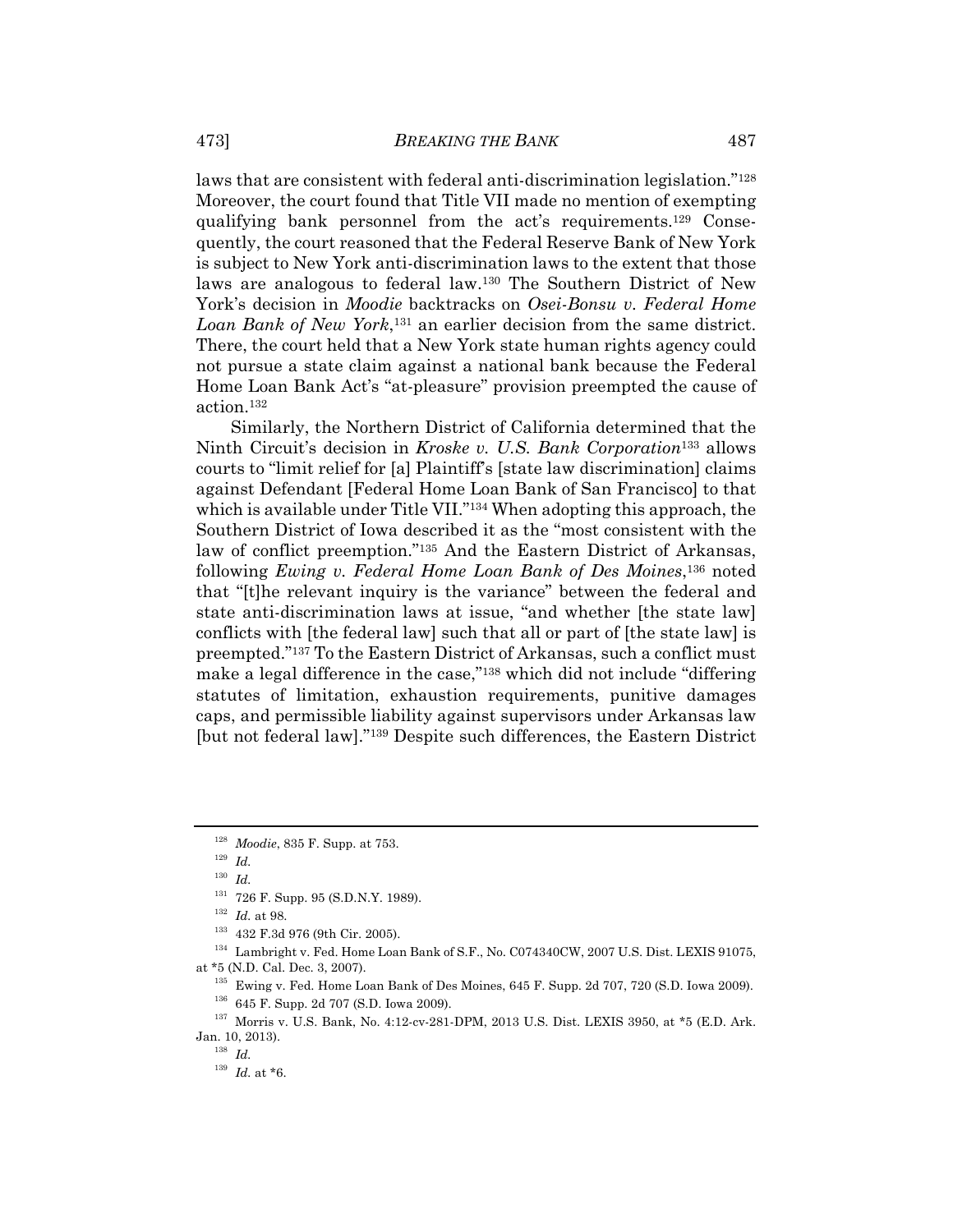laws that are consistent with federal anti-discrimination legislation."128 Moreover, the court found that Title VII made no mention of exempting qualifying bank personnel from the act's requirements.129 Consequently, the court reasoned that the Federal Reserve Bank of New York is subject to New York anti-discrimination laws to the extent that those laws are analogous to federal law.130 The Southern District of New York's decision in *Moodie* backtracks on *Osei-Bonsu v. Federal Home Loan Bank of New York*,131 an earlier decision from the same district. There, the court held that a New York state human rights agency could not pursue a state claim against a national bank because the Federal Home Loan Bank Act's "at-pleasure" provision preempted the cause of action.132

Similarly, the Northern District of California determined that the Ninth Circuit's decision in *Kroske v. U.S. Bank Corporation*133 allows courts to "limit relief for [a] Plaintiff's [state law discrimination] claims against Defendant [Federal Home Loan Bank of San Francisco] to that which is available under Title VII."<sup>134</sup> When adopting this approach, the Southern District of Iowa described it as the "most consistent with the law of conflict preemption."135 And the Eastern District of Arkansas, following *Ewing v. Federal Home Loan Bank of Des Moines*,136 noted that "[t]he relevant inquiry is the variance" between the federal and state anti-discrimination laws at issue, "and whether [the state law] conflicts with [the federal law] such that all or part of [the state law] is preempted."137 To the Eastern District of Arkansas, such a conflict must make a legal difference in the case,"138 which did not include "differing statutes of limitation, exhaustion requirements, punitive damages caps, and permissible liability against supervisors under Arkansas law [but not federal law]."139 Despite such differences, the Eastern District

<sup>128</sup> *Moodie*, 835 F. Supp. at 753. 129 *Id.*

 $^{130}\,$   $Id.$ 

<sup>131 726</sup> F. Supp. 95 (S.D.N.Y. 1989).<br><sup>132</sup> *Id.* at 98.<br><sup>133</sup> 432 F.3d 976 (9th Cir. 2005).<br><sup>134</sup> Lambright v. Fed. Home Loan Bank of S.F., No. C074340CW, 2007 U.S. Dist. LEXIS 91075,

at \*5 (N.D. Cal. Dec. 3, 2007).<br><sup>135</sup> Ewing v. Fed. Home Loan Bank of Des Moines, 645 F. Supp. 2d 707, 720 (S.D. Iowa 2009).<br><sup>136</sup> 645 F. Supp. 2d 707 (S.D. Iowa 2009).<br><sup>136</sup> Morris v. U.S. Bank, No. 4:12-cv-281-DPM, 2013

Jan. 10, 2013). 138 *Id.* 

<sup>&</sup>lt;sup>139</sup> *Id.* at \*6.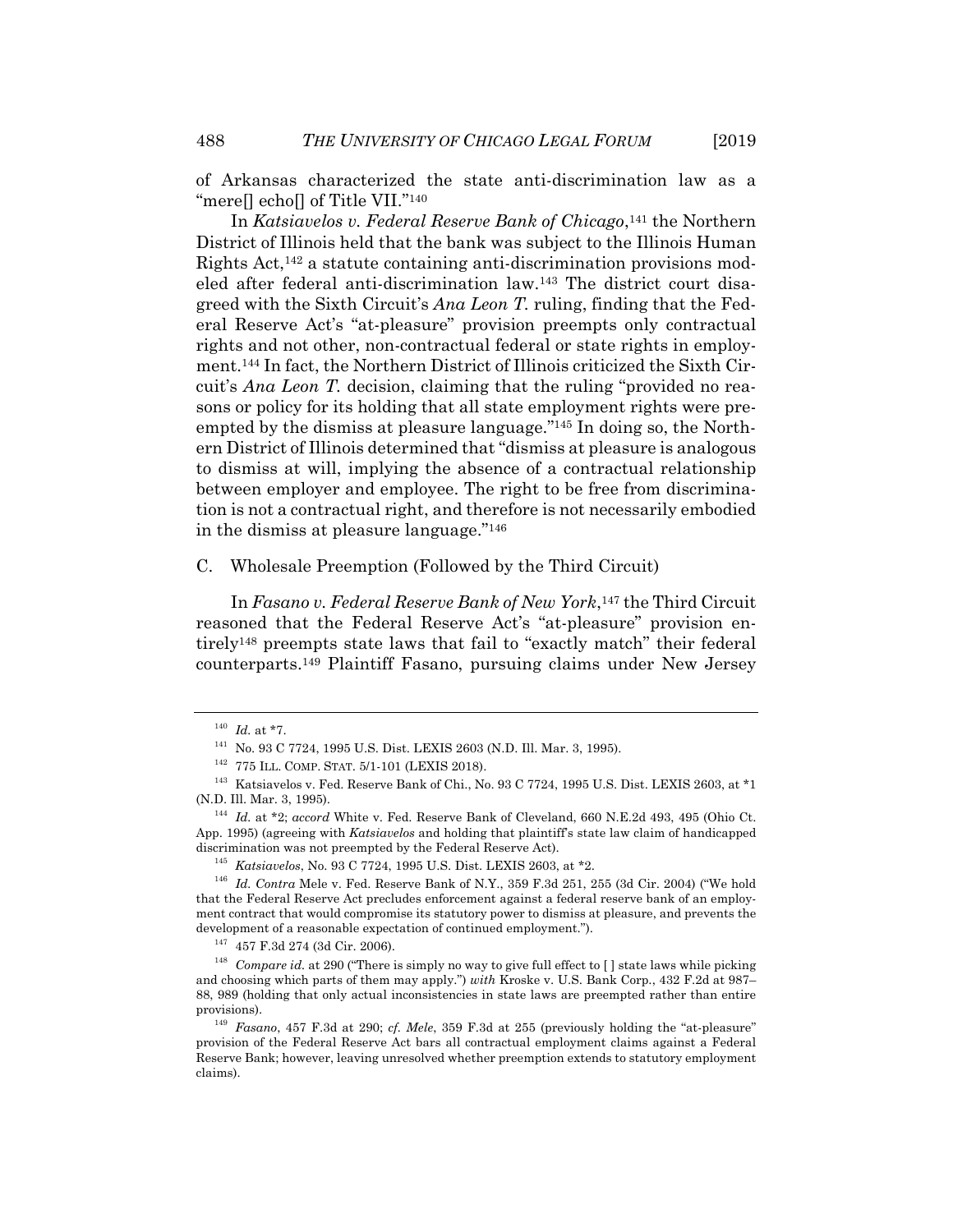of Arkansas characterized the state anti-discrimination law as a "mere[] echo[] of Title VII."<sup>140</sup>

In *Katsiavelos v. Federal Reserve Bank of Chicago*,141 the Northern District of Illinois held that the bank was subject to the Illinois Human Rights Act,142 a statute containing anti-discrimination provisions modeled after federal anti-discrimination law.143 The district court disagreed with the Sixth Circuit's *Ana Leon T.* ruling, finding that the Federal Reserve Act's "at-pleasure" provision preempts only contractual rights and not other, non-contractual federal or state rights in employment.144 In fact, the Northern District of Illinois criticized the Sixth Circuit's *Ana Leon T.* decision, claiming that the ruling "provided no reasons or policy for its holding that all state employment rights were preempted by the dismiss at pleasure language."145 In doing so, the Northern District of Illinois determined that "dismiss at pleasure is analogous to dismiss at will, implying the absence of a contractual relationship between employer and employee. The right to be free from discrimination is not a contractual right, and therefore is not necessarily embodied in the dismiss at pleasure language."146

C. Wholesale Preemption (Followed by the Third Circuit)

In *Fasano v. Federal Reserve Bank of New York*,147 the Third Circuit reasoned that the Federal Reserve Act's "at-pleasure" provision entirely148 preempts state laws that fail to "exactly match" their federal counterparts.149 Plaintiff Fasano, pursuing claims under New Jersey

 $^{140}$   $Id.$  at \*7.  $^{141}$  No. 93 C 7724, 1995 U.S. Dist. LEXIS 2603 (N.D. Ill. Mar. 3, 1995).<br> $^{142}$  775 ILL. COMP. STAT. 5/1-101 (LEXIS 2018).<br> $^{142}$  Katsiavelos v. Fed. Reserve Bank of Chi., No. 93 C 7724, 1995 U.S.

<sup>&</sup>lt;sup>144</sup> Id. at \*2; *accord* White v. Fed. Reserve Bank of Cleveland, 660 N.E.2d 493, 495 (Ohio Ct. App. 1995) (agreeing with *Katsiavelos* and holding that plaintiff's state law claim of handicapped

<sup>&</sup>lt;sup>145</sup> *Katsiavelos*, No. 93 C 7724, 1995 U.S. Dist. LEXIS 2603, at  $*2$ .<br><sup>146</sup> *Id. Contra* Mele v. Fed. Reserve Bank of N.Y., 359 F.3d 251, 255 (3d Cir. 2004) ("We hold that the Federal Reserve Act precludes enforcement against a federal reserve bank of an employment contract that would compromise its statutory power to dismiss at pleasure, and prevents the

development of a reasonable expectation of continued employment.").<br><sup>147</sup> 457 F.3d 274 (3d Cir. 2006).<br><sup>148</sup> Compare *id.* at 290 ("There is simply no way to give full effect to [ ] state laws while picking and choosing which parts of them may apply.") *with* Kroske v. U.S. Bank Corp., 432 F.2d at 987– 88, 989 (holding that only actual inconsistencies in state laws are preempted rather than entire provisions). 149 *Fasano*, 457 F.3d at 290; *cf. Mele*, 359 F.3d at 255 (previously holding the "at-pleasure"

provision of the Federal Reserve Act bars all contractual employment claims against a Federal Reserve Bank; however, leaving unresolved whether preemption extends to statutory employment claims).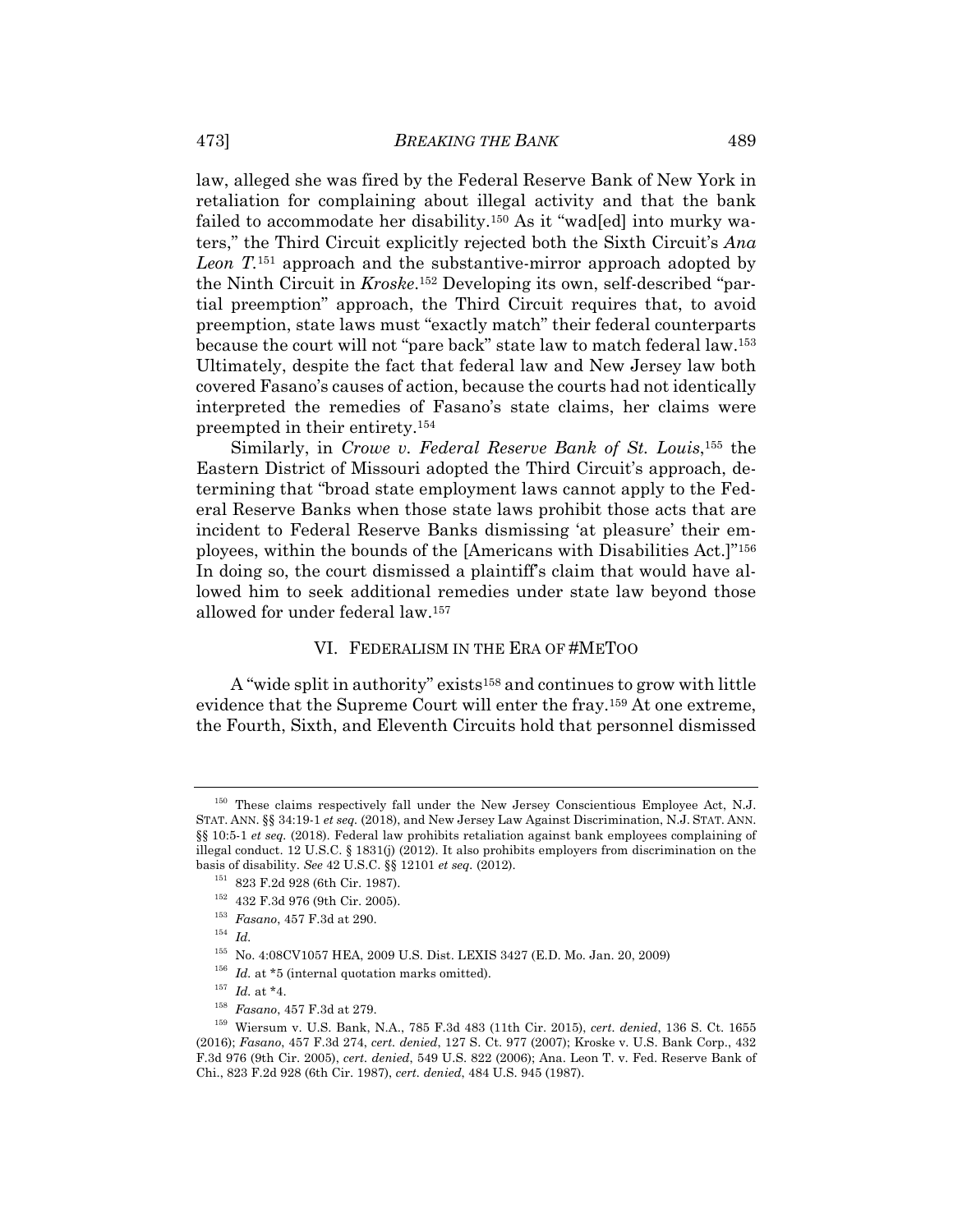law, alleged she was fired by the Federal Reserve Bank of New York in retaliation for complaining about illegal activity and that the bank failed to accommodate her disability.150 As it "wad[ed] into murky waters," the Third Circuit explicitly rejected both the Sixth Circuit's *Ana Leon T.*151 approach and the substantive-mirror approach adopted by the Ninth Circuit in *Kroske*.152 Developing its own, self-described "partial preemption" approach, the Third Circuit requires that, to avoid preemption, state laws must "exactly match" their federal counterparts because the court will not "pare back" state law to match federal law.153 Ultimately, despite the fact that federal law and New Jersey law both covered Fasano's causes of action, because the courts had not identically interpreted the remedies of Fasano's state claims, her claims were preempted in their entirety.154

Similarly, in *Crowe v. Federal Reserve Bank of St. Louis*,155 the Eastern District of Missouri adopted the Third Circuit's approach, determining that "broad state employment laws cannot apply to the Federal Reserve Banks when those state laws prohibit those acts that are incident to Federal Reserve Banks dismissing 'at pleasure' their employees, within the bounds of the [Americans with Disabilities Act.]"156 In doing so, the court dismissed a plaintiff's claim that would have allowed him to seek additional remedies under state law beyond those allowed for under federal law.157

#### VI. FEDERALISM IN THE ERA OF #METOO

A "wide split in authority" exists158 and continues to grow with little evidence that the Supreme Court will enter the fray.159 At one extreme, the Fourth, Sixth, and Eleventh Circuits hold that personnel dismissed

<sup>&</sup>lt;sup>150</sup> These claims respectively fall under the New Jersey Conscientious Employee Act, N.J. STAT. ANN. §§ 34:19-1 *et seq.* (2018), and New Jersey Law Against Discrimination, N.J. STAT. ANN. §§ 10:5-1 *et seq.* (2018). Federal law prohibits retaliation against bank employees complaining of illegal conduct. 12 U.S.C. § 1831(j) (2012). It also prohibits employers from discrimination on the basis of disability. *See* 42 U.S.C. §§ 12101 *et seq.* (2012). 151 823 F.2d 928 (6th Cir. 1987). 152 432 F.3d 976 (9th Cir. 2005). 153 *Fasano*, 457 F.3d at 290. 154 *Id.*

<sup>&</sup>lt;sup>155</sup> No. 4:08CV1057 HEA, 2009 U.S. Dist. LEXIS 3427 (E.D. Mo. Jan. 20, 2009)<br><sup>156</sup> *Id.* at \*5 (internal quotation marks omitted).<br><sup>157</sup> *Id.* at \*4.<br><sup>157</sup> *Fasano*, 457 F.3d at 279.<br><sup>159</sup> Wiersum v. U.S. Bank, N.A., 785 (2016); *Fasano*, 457 F.3d 274, *cert. denied*, 127 S. Ct. 977 (2007); Kroske v. U.S. Bank Corp., 432 F.3d 976 (9th Cir. 2005), *cert. denied*, 549 U.S. 822 (2006); Ana. Leon T. v. Fed. Reserve Bank of Chi., 823 F.2d 928 (6th Cir. 1987), *cert. denied*, 484 U.S. 945 (1987).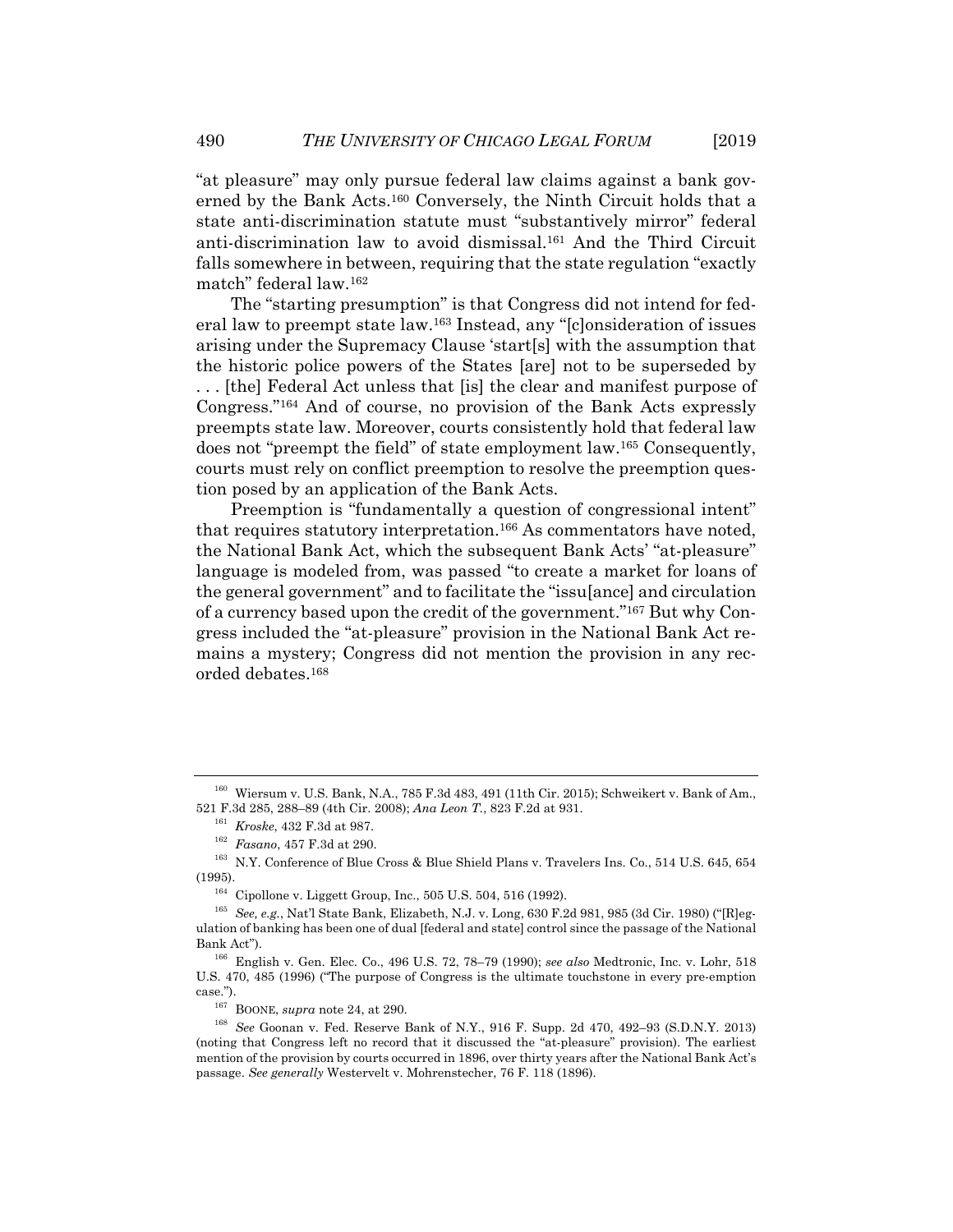"at pleasure" may only pursue federal law claims against a bank governed by the Bank Acts.160 Conversely, the Ninth Circuit holds that a state anti-discrimination statute must "substantively mirror" federal anti-discrimination law to avoid dismissal.161 And the Third Circuit falls somewhere in between, requiring that the state regulation "exactly match" federal law.162

The "starting presumption" is that Congress did not intend for federal law to preempt state law.163 Instead, any "[c]onsideration of issues arising under the Supremacy Clause 'start[s] with the assumption that the historic police powers of the States [are] not to be superseded by . . . [the] Federal Act unless that [is] the clear and manifest purpose of Congress."164 And of course, no provision of the Bank Acts expressly preempts state law. Moreover, courts consistently hold that federal law does not "preempt the field" of state employment law.165 Consequently, courts must rely on conflict preemption to resolve the preemption question posed by an application of the Bank Acts.

Preemption is "fundamentally a question of congressional intent" that requires statutory interpretation.166 As commentators have noted, the National Bank Act, which the subsequent Bank Acts' "at-pleasure" language is modeled from, was passed "to create a market for loans of the general government" and to facilitate the "issu[ance] and circulation of a currency based upon the credit of the government."167 But why Congress included the "at-pleasure" provision in the National Bank Act remains a mystery; Congress did not mention the provision in any recorded debates.168

<sup>160</sup> Wiersum v. U.S. Bank, N.A., 785 F.3d 483, 491 (11th Cir. 2015); Schweikert v. Bank of Am., 521 F.3d 285, 288–89 (4th Cir. 2008); Ana Leon T., 823 F.2d at 931.<br><sup>161</sup> *Kroske*, 432 F.3d at 987.<br><sup>162</sup> *Fasano*, 457 F.3d at 290.<br><sup>163</sup> N.Y. Conference of Blue Cross & Blue Shield Plans v. Travelers Ins. Co., 514 U.S.

<sup>(1995). 164</sup> Cipollone v. Liggett Group, Inc., 505 U.S. 504, 516 (1992). 165 *See, e.g.*, Nat'l State Bank, Elizabeth, N.J. v. Long, 630 F.2d 981, 985 (3d Cir. 1980) ("[R]eg-

ulation of banking has been one of dual [federal and state] control since the passage of the National Bank Act"). 166 English v. Gen. Elec. Co., 496 U.S. 72, 78–79 (1990); *see also* Medtronic, Inc. v. Lohr, 518

U.S. 470, 485 (1996) ("The purpose of Congress is the ultimate touchstone in every pre-emption case.").<br><sup>167</sup> BOONE, *supra* note 24, at 290.<br><sup>168</sup> *See* Goonan v. Fed. Reserve Bank of N.Y., 916 F. Supp. 2d 470, 492–93 (S.D.N.Y. 2013)

<sup>(</sup>noting that Congress left no record that it discussed the "at-pleasure" provision). The earliest mention of the provision by courts occurred in 1896, over thirty years after the National Bank Act's passage. *See generally* Westervelt v. Mohrenstecher, 76 F. 118 (1896).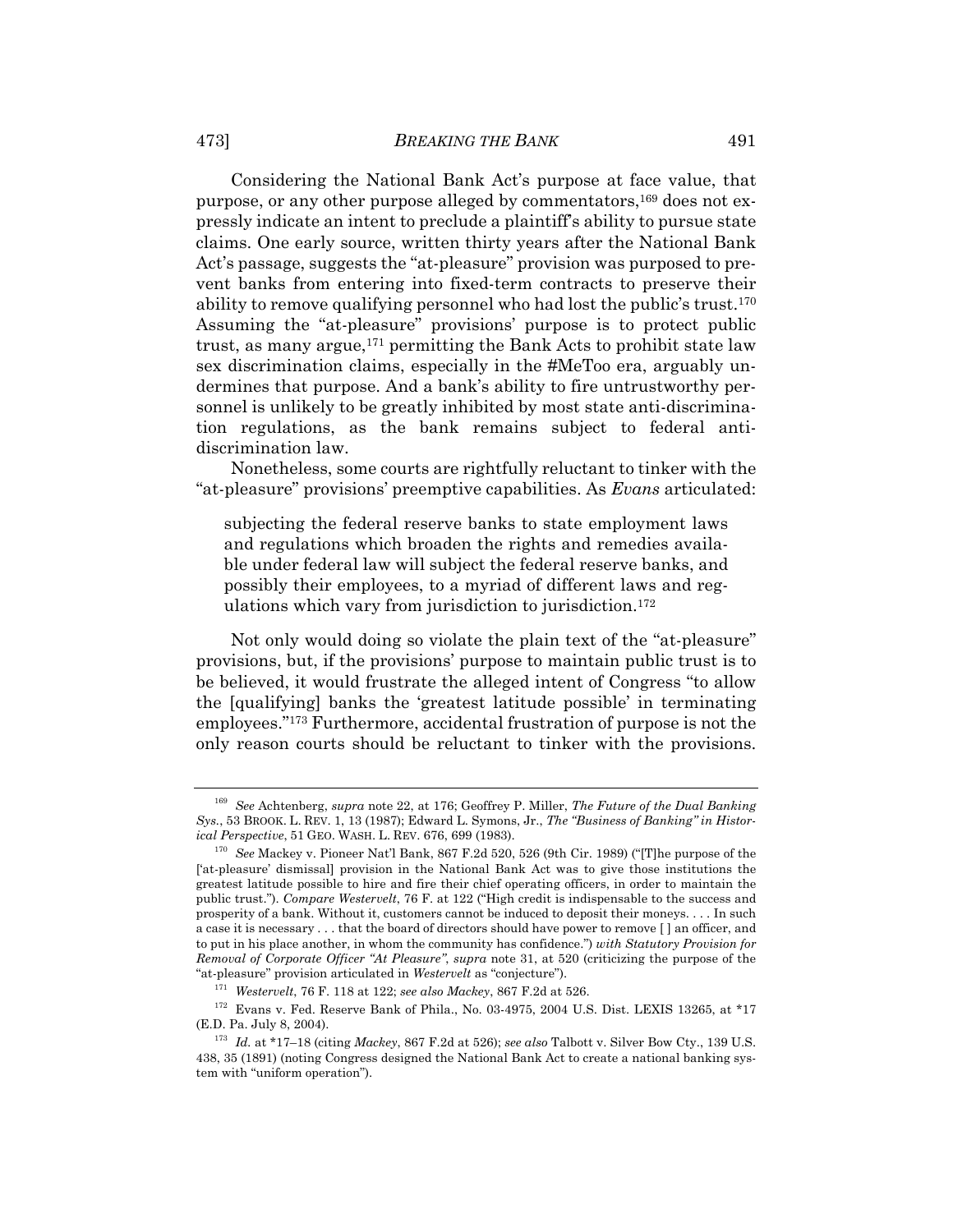Considering the National Bank Act's purpose at face value, that purpose, or any other purpose alleged by commentators,<sup>169</sup> does not expressly indicate an intent to preclude a plaintiff's ability to pursue state claims. One early source, written thirty years after the National Bank Act's passage, suggests the "at-pleasure" provision was purposed to prevent banks from entering into fixed-term contracts to preserve their ability to remove qualifying personnel who had lost the public's trust.<sup>170</sup> Assuming the "at-pleasure" provisions' purpose is to protect public trust, as many argue,171 permitting the Bank Acts to prohibit state law sex discrimination claims, especially in the #MeToo era, arguably undermines that purpose. And a bank's ability to fire untrustworthy personnel is unlikely to be greatly inhibited by most state anti-discrimination regulations, as the bank remains subject to federal antidiscrimination law.

Nonetheless, some courts are rightfully reluctant to tinker with the "at-pleasure" provisions' preemptive capabilities. As *Evans* articulated:

subjecting the federal reserve banks to state employment laws and regulations which broaden the rights and remedies available under federal law will subject the federal reserve banks, and possibly their employees, to a myriad of different laws and regulations which vary from jurisdiction to jurisdiction.172

Not only would doing so violate the plain text of the "at-pleasure" provisions, but, if the provisions' purpose to maintain public trust is to be believed, it would frustrate the alleged intent of Congress "to allow the [qualifying] banks the 'greatest latitude possible' in terminating employees."173 Furthermore, accidental frustration of purpose is not the only reason courts should be reluctant to tinker with the provisions.

<sup>169</sup> *See* Achtenberg, *supra* note 22, at 176; Geoffrey P. Miller, *The Future of the Dual Banking Sys.*, 53 BROOK. L. REV. 1, 13 (1987); Edward L. Symons, Jr., *The "Business of Banking" in Histor-*

<sup>&</sup>lt;sup>170</sup> See Mackey v. Pioneer Nat'l Bank, 867 F.2d 520, 526 (9th Cir. 1989) ("[T]he purpose of the ['at-pleasure' dismissal] provision in the National Bank Act was to give those institutions the greatest latitude possible to hire and fire their chief operating officers, in order to maintain the public trust."). *Compare Westervelt*, 76 F. at 122 ("High credit is indispensable to the success and prosperity of a bank. Without it, customers cannot be induced to deposit their moneys. . . . In such a case it is necessary . . . that the board of directors should have power to remove [ ] an officer, and to put in his place another, in whom the community has confidence.") *with Statutory Provision for Removal of Corporate Officer "At Pleasure"*, *supra* note 31, at 520 (criticizing the purpose of the

<sup>&</sup>lt;sup>171</sup> Westervelt, 76 F. 118 at 122; see also Mackey, 867 F.2d at 526.<br><sup>172</sup> Evans v. Fed. Reserve Bank of Phila., No. 03-4975, 2004 U.S. Dist. LEXIS 13265, at \*17 (E.D. Pa. July 8, 2004).

<sup>&</sup>lt;sup>173</sup> Id. at \*17-18 (citing *Mackey*, 867 F.2d at 526); *see also* Talbott v. Silver Bow Cty., 139 U.S. 438, 35 (1891) (noting Congress designed the National Bank Act to create a national banking system with "uniform operation").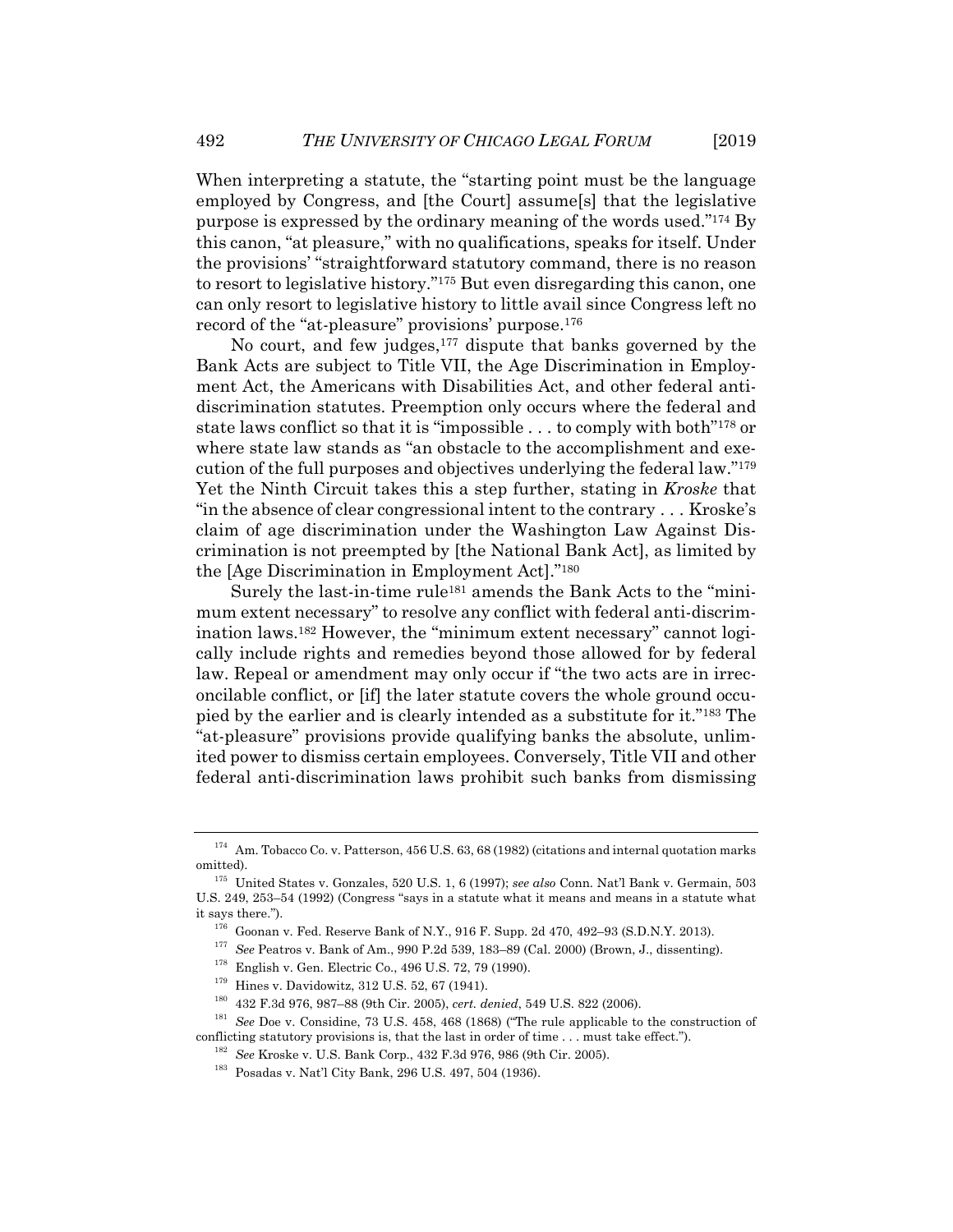When interpreting a statute, the "starting point must be the language employed by Congress, and [the Court] assume[s] that the legislative purpose is expressed by the ordinary meaning of the words used."174 By this canon, "at pleasure," with no qualifications, speaks for itself. Under the provisions' "straightforward statutory command, there is no reason to resort to legislative history."175 But even disregarding this canon, one can only resort to legislative history to little avail since Congress left no record of the "at-pleasure" provisions' purpose.176

No court, and few judges,<sup>177</sup> dispute that banks governed by the Bank Acts are subject to Title VII, the Age Discrimination in Employment Act, the Americans with Disabilities Act, and other federal antidiscrimination statutes. Preemption only occurs where the federal and state laws conflict so that it is "impossible . . . to comply with both"178 or where state law stands as "an obstacle to the accomplishment and execution of the full purposes and objectives underlying the federal law."179 Yet the Ninth Circuit takes this a step further, stating in *Kroske* that "in the absence of clear congressional intent to the contrary . . . Kroske's claim of age discrimination under the Washington Law Against Discrimination is not preempted by [the National Bank Act], as limited by the [Age Discrimination in Employment Act]."180

Surely the last-in-time rule181 amends the Bank Acts to the "minimum extent necessary" to resolve any conflict with federal anti-discrimination laws.182 However, the "minimum extent necessary" cannot logically include rights and remedies beyond those allowed for by federal law. Repeal or amendment may only occur if "the two acts are in irreconcilable conflict, or [if] the later statute covers the whole ground occupied by the earlier and is clearly intended as a substitute for it."183 The "at-pleasure" provisions provide qualifying banks the absolute, unlimited power to dismiss certain employees. Conversely, Title VII and other federal anti-discrimination laws prohibit such banks from dismissing

<sup>174</sup> Am. Tobacco Co. v. Patterson, 456 U.S. 63, 68 (1982) (citations and internal quotation marks omitted). 175 United States v. Gonzales, 520 U.S. 1, 6 (1997); *see also* Conn. Nat'l Bank v. Germain, 503

U.S. 249, 253–54 (1992) (Congress "says in a statute what it means and means in a statute what

it says there.").<br>
<sup>176</sup> Goonan v. Fed. Reserve Bank of N.Y., 916 F. Supp. 2d 470, 492–93 (S.D.N.Y. 2013).<br>
<sup>177</sup> See Peatros v. Bank of Am., 990 P.2d 539, 183–89 (Cal. 2000) (Brown, J., dissenting).<br>
<sup>178</sup> English v. Gen

 $^{182}$  See Kroske v. U.S. Bank Corp., 432 F.3d 976, 986 (9th Cir. 2005).<br> $^{183}$  Posadas v. Nat'l City Bank, 296 U.S. 497, 504 (1936).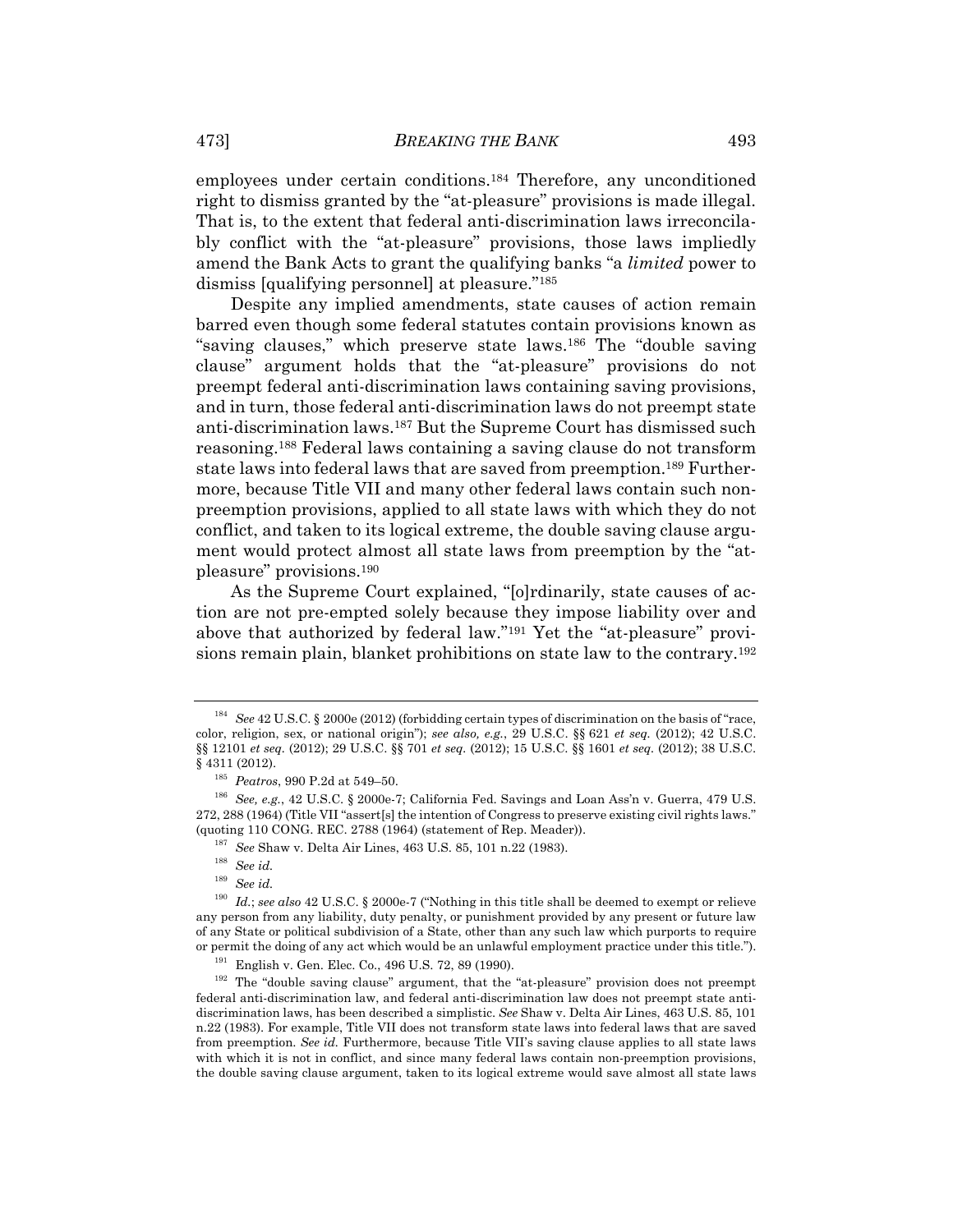employees under certain conditions.184 Therefore, any unconditioned right to dismiss granted by the "at-pleasure" provisions is made illegal. That is, to the extent that federal anti-discrimination laws irreconcilably conflict with the "at-pleasure" provisions, those laws impliedly amend the Bank Acts to grant the qualifying banks "a *limited* power to dismiss [qualifying personnel] at pleasure."185

Despite any implied amendments, state causes of action remain barred even though some federal statutes contain provisions known as "saving clauses," which preserve state laws.186 The "double saving clause" argument holds that the "at-pleasure" provisions do not preempt federal anti-discrimination laws containing saving provisions, and in turn, those federal anti-discrimination laws do not preempt state anti-discrimination laws.187 But the Supreme Court has dismissed such reasoning.188 Federal laws containing a saving clause do not transform state laws into federal laws that are saved from preemption.189 Furthermore, because Title VII and many other federal laws contain such nonpreemption provisions, applied to all state laws with which they do not conflict, and taken to its logical extreme, the double saving clause argument would protect almost all state laws from preemption by the "atpleasure" provisions.190

As the Supreme Court explained, "[o]rdinarily, state causes of action are not pre-empted solely because they impose liability over and above that authorized by federal law."191 Yet the "at-pleasure" provisions remain plain, blanket prohibitions on state law to the contrary.192

<sup>184</sup> *See* 42 U.S.C. § 2000e (2012) (forbidding certain types of discrimination on the basis of "race, color, religion, sex, or national origin"); *see also, e.g.*, 29 U.S.C. §§ 621 *et seq.* (2012); 42 U.S.C. §§ 12101 *et seq.* (2012); 29 U.S.C. §§ 701 *et seq.* (2012); 15 U.S.C. §§ 1601 *et seq.* (2012); 38 U.S.C.

<sup>§ 4311 (2012). 185</sup> *Peatros*, 990 P.2d at 549–50. 186 *See, e.g.*, 42 U.S.C. § 2000e-7; California Fed. Savings and Loan Ass'n v. Guerra, 479 U.S. 272, 288 (1964) (Title VII "assert[s] the intention of Congress to preserve existing civil rights laws." (quoting 110 CONG. REC. 2788 (1964) (statement of Rep. Meader)). 187 *See* Shaw v. Delta Air Lines, 463 U.S. 85, 101 n.22 (1983). 188 *See id.*

<sup>189</sup> *See id.*

<sup>190</sup> *Id.*; *see also* 42 U.S.C. § 2000e-7 ("Nothing in this title shall be deemed to exempt or relieve any person from any liability, duty penalty, or punishment provided by any present or future law of any State or political subdivision of a State, other than any such law which purports to require or permit the doing of any act which would be an unlawful employment practice under this title.").<br><sup>191</sup> English v. Gen. Elec. Co., 496 U.S. 72, 89 (1990).<br><sup>192</sup> The "double saving clause" argument, that the "at-pleasure"

federal anti-discrimination law, and federal anti-discrimination law does not preempt state antidiscrimination laws, has been described a simplistic. *See* Shaw v. Delta Air Lines, 463 U.S. 85, 101 n.22 (1983). For example, Title VII does not transform state laws into federal laws that are saved from preemption. *See id.* Furthermore, because Title VII's saving clause applies to all state laws with which it is not in conflict, and since many federal laws contain non-preemption provisions, the double saving clause argument, taken to its logical extreme would save almost all state laws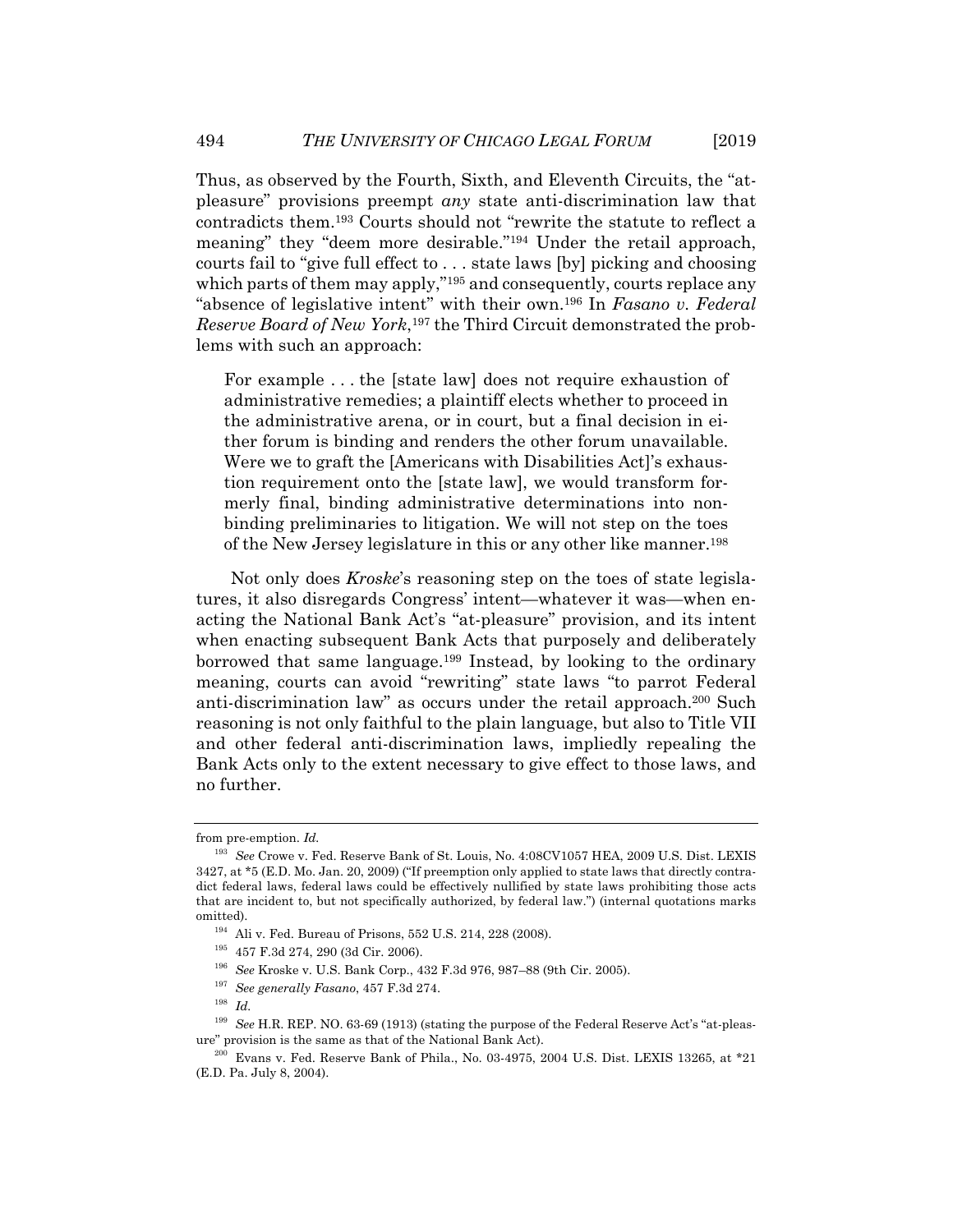Thus, as observed by the Fourth, Sixth, and Eleventh Circuits, the "atpleasure" provisions preempt *any* state anti-discrimination law that contradicts them.193 Courts should not "rewrite the statute to reflect a meaning" they "deem more desirable."194 Under the retail approach, courts fail to "give full effect to . . . state laws [by] picking and choosing which parts of them may apply,<sup>"195</sup> and consequently, courts replace any "absence of legislative intent" with their own.196 In *Fasano v. Federal Reserve Board of New York*,197 the Third Circuit demonstrated the problems with such an approach:

For example . . . the [state law] does not require exhaustion of administrative remedies; a plaintiff elects whether to proceed in the administrative arena, or in court, but a final decision in either forum is binding and renders the other forum unavailable. Were we to graft the [Americans with Disabilities Act]'s exhaustion requirement onto the [state law], we would transform formerly final, binding administrative determinations into nonbinding preliminaries to litigation. We will not step on the toes of the New Jersey legislature in this or any other like manner.198

Not only does *Kroske*'s reasoning step on the toes of state legislatures, it also disregards Congress' intent—whatever it was—when enacting the National Bank Act's "at-pleasure" provision, and its intent when enacting subsequent Bank Acts that purposely and deliberately borrowed that same language.199 Instead, by looking to the ordinary meaning, courts can avoid "rewriting" state laws "to parrot Federal anti-discrimination law" as occurs under the retail approach.200 Such reasoning is not only faithful to the plain language, but also to Title VII and other federal anti-discrimination laws, impliedly repealing the Bank Acts only to the extent necessary to give effect to those laws, and no further.

from pre-emption. *Id.*

<sup>193</sup> *See* Crowe v. Fed. Reserve Bank of St. Louis, No. 4:08CV1057 HEA, 2009 U.S. Dist. LEXIS 3427, at \*5 (E.D. Mo. Jan. 20, 2009) ("If preemption only applied to state laws that directly contradict federal laws, federal laws could be effectively nullified by state laws prohibiting those acts that are incident to, but not specifically authorized, by federal law.") (internal quotations marks % omitted). 194 Ali v. Fed. Bureau of Prisons, 552 U.S. 214, 228 (2008). 195 457 F.3d 274, 290 (3d Cir. 2006).

<sup>196</sup> *See* Kroske v. U.S. Bank Corp., 432 F.3d 976, 987–88 (9th Cir. 2005). 197 *See generally Fasano*, 457 F.3d 274. 198 *Id.*

<sup>199</sup> *See* H.R. REP. NO. 63-69 (1913) (stating the purpose of the Federal Reserve Act's "at-pleasure" provision is the same as that of the National Bank Act).<br><sup>200</sup> Evans v. Fed. Reserve Bank of Phila., No. 03-4975, 2004 U.S. Dist. LEXIS 13265, at \*21

<sup>(</sup>E.D. Pa. July 8, 2004).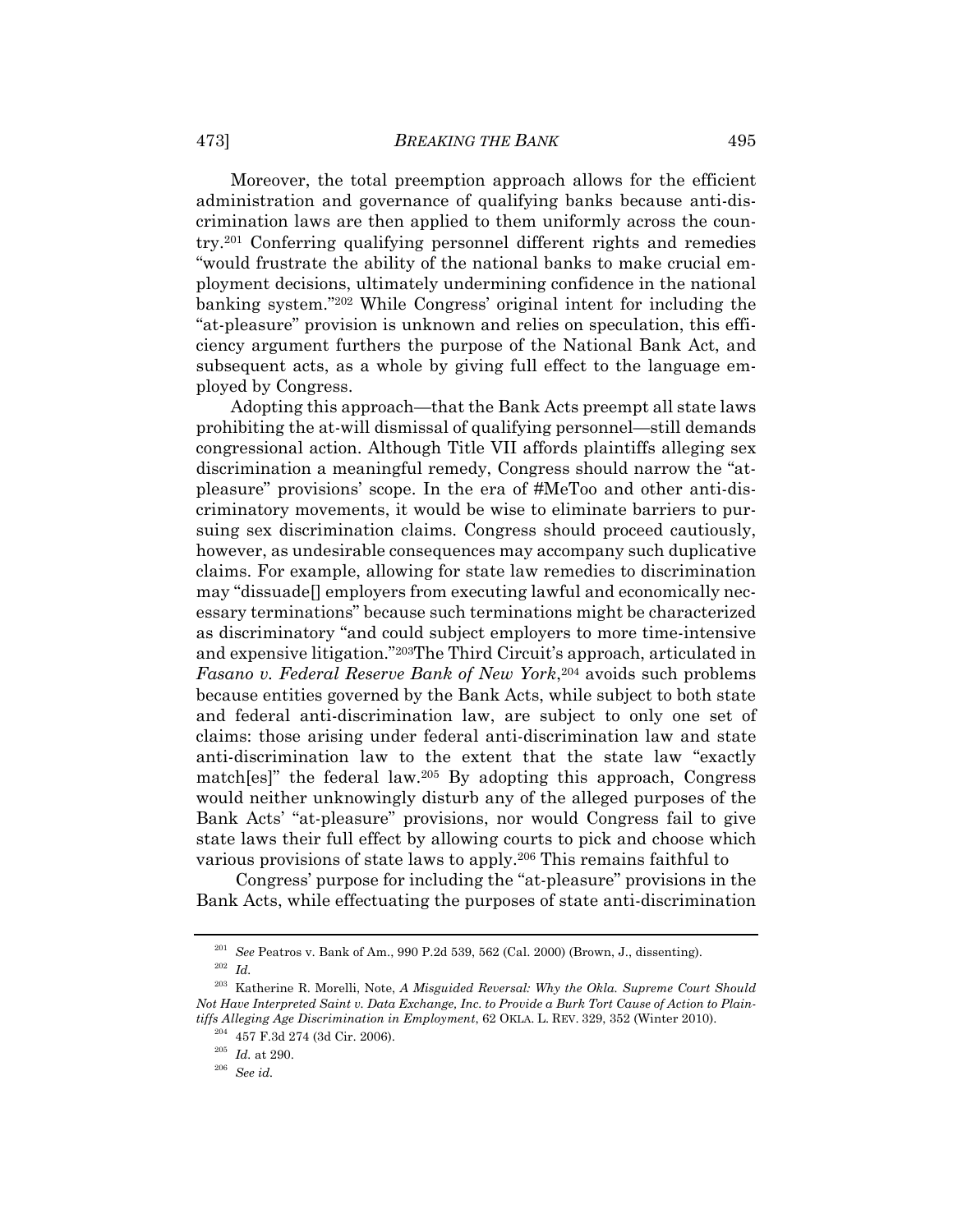Moreover, the total preemption approach allows for the efficient administration and governance of qualifying banks because anti-discrimination laws are then applied to them uniformly across the country.201 Conferring qualifying personnel different rights and remedies "would frustrate the ability of the national banks to make crucial employment decisions, ultimately undermining confidence in the national banking system."202 While Congress' original intent for including the "at-pleasure" provision is unknown and relies on speculation, this efficiency argument furthers the purpose of the National Bank Act, and subsequent acts, as a whole by giving full effect to the language employed by Congress.

Adopting this approach—that the Bank Acts preempt all state laws prohibiting the at-will dismissal of qualifying personnel—still demands congressional action. Although Title VII affords plaintiffs alleging sex discrimination a meaningful remedy, Congress should narrow the "atpleasure" provisions' scope. In the era of #MeToo and other anti-discriminatory movements, it would be wise to eliminate barriers to pursuing sex discrimination claims. Congress should proceed cautiously, however, as undesirable consequences may accompany such duplicative claims. For example, allowing for state law remedies to discrimination may "dissuade[] employers from executing lawful and economically necessary terminations" because such terminations might be characterized as discriminatory "and could subject employers to more time-intensive and expensive litigation."203The Third Circuit's approach, articulated in *Fasano v. Federal Reserve Bank of New York*,<sup>204</sup> avoids such problems because entities governed by the Bank Acts, while subject to both state and federal anti-discrimination law, are subject to only one set of claims: those arising under federal anti-discrimination law and state anti-discrimination law to the extent that the state law "exactly match[es]" the federal law.205 By adopting this approach, Congress would neither unknowingly disturb any of the alleged purposes of the Bank Acts' "at-pleasure" provisions, nor would Congress fail to give state laws their full effect by allowing courts to pick and choose which various provisions of state laws to apply.206 This remains faithful to

 Congress' purpose for including the "at-pleasure" provisions in the Bank Acts, while effectuating the purposes of state anti-discrimination

 $^{201}_{202}$   $\,$  See Peatros v. Bank of Am., 990 P.2d 539, 562 (Cal. 2000) (Brown, J., dissenting).  $^{202}_{202}$   $\,$   $I\!$ 

<sup>203</sup> Katherine R. Morelli, Note, *A Misguided Reversal: Why the Okla. Supreme Court Should Not Have Interpreted Saint v. Data Exchange, Inc. to Provide a Burk Tort Cause of Action to Plaintiffs Alleging Age Discrimination in Employment*, 62 OKLA. L. REV. 329, 352 (Winter 2010). 204 457 F.3d 274 (3d Cir. 2006). 205 *Id.* at 290. 206 *See id.*